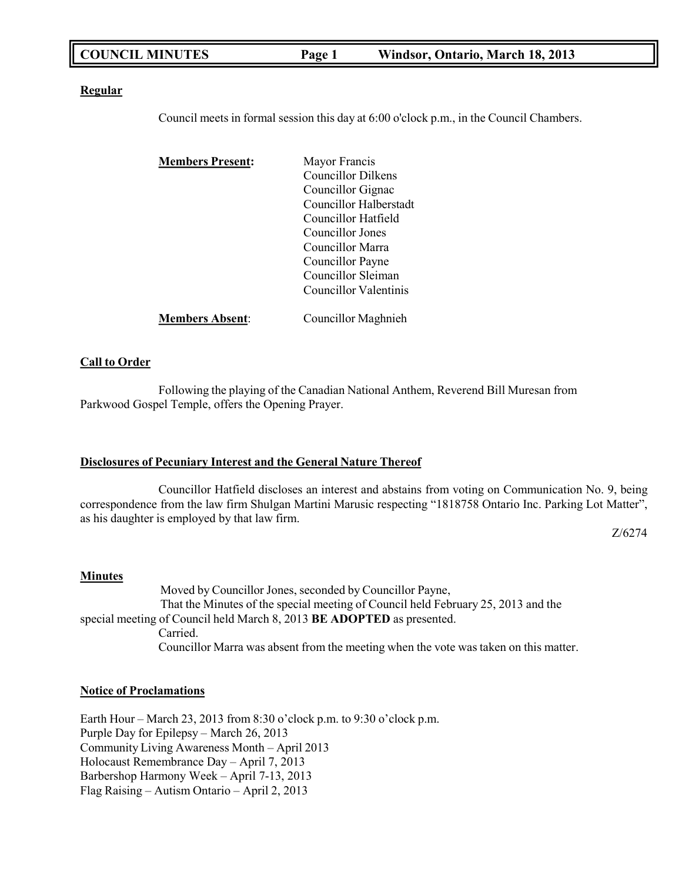#### **Regular**

Council meets in formal session this day at 6:00 o'clock p.m., in the Council Chambers.

| <b>Members Present:</b> | Mayor Francis             |
|-------------------------|---------------------------|
|                         | <b>Councillor Dilkens</b> |
|                         | Councillor Gignac         |
|                         | Councillor Halberstadt    |
|                         | Councillor Hatfield       |
|                         | Councillor Jones          |
|                         | Councillor Marra          |
|                         | Councillor Payne          |
|                         | Councillor Sleiman        |
|                         | Councillor Valentinis     |
| <b>Members Absent:</b>  | Councillor Maghnieh       |

### **Call to Order**

Following the playing of the Canadian National Anthem, Reverend Bill Muresan from Parkwood Gospel Temple, offers the Opening Prayer.

## **Disclosures of Pecuniary Interest and the General Nature Thereof**

Councillor Hatfield discloses an interest and abstains from voting on Communication No. 9, being correspondence from the law firm Shulgan Martini Marusic respecting "1818758 Ontario Inc. Parking Lot Matter", as his daughter is employed by that law firm.

Z/6274

## **Minutes**

Moved by Councillor Jones, seconded by Councillor Payne, That the Minutes of the special meeting of Council held February 25, 2013 and the special meeting of Council held March 8, 2013 **BE ADOPTED** as presented. Carried. Councillor Marra was absent from the meeting when the vote was taken on this matter.

#### **Notice of Proclamations**

Earth Hour – March 23, 2013 from 8:30 o'clock p.m. to 9:30 o'clock p.m. Purple Day for Epilepsy – March 26, 2013 Community Living Awareness Month – April 2013 Holocaust Remembrance Day – April 7, 2013 Barbershop Harmony Week – April 7-13, 2013 Flag Raising – Autism Ontario – April 2, 2013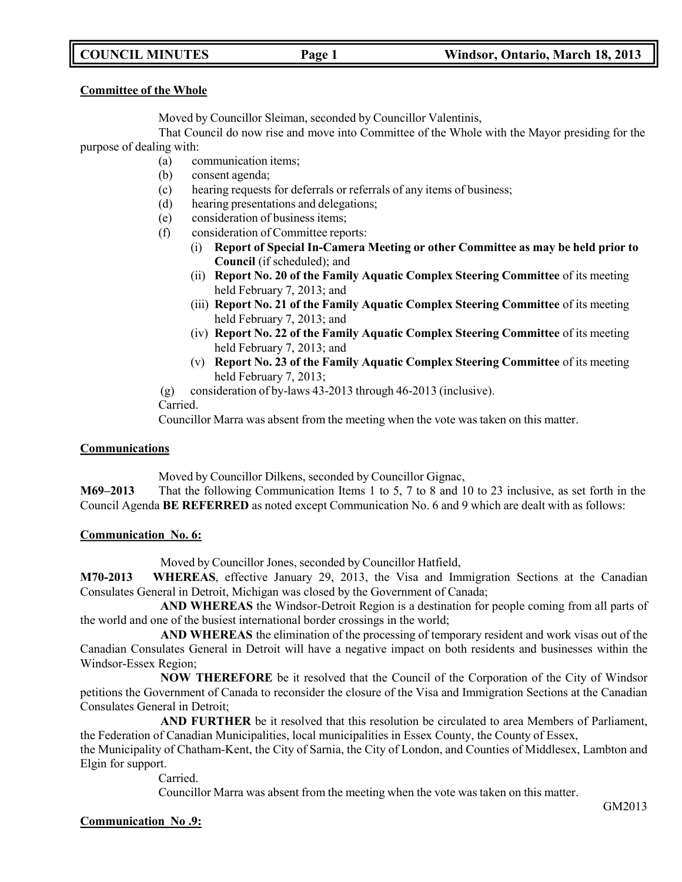#### **Committee of the Whole**

Moved by Councillor Sleiman, seconded by Councillor Valentinis,

That Council do now rise and move into Committee of the Whole with the Mayor presiding for the purpose of dealing with:

- (a) communication items;
- (b) consent agenda;
- (c) hearing requests for deferrals or referrals of any items of business;
- (d) hearing presentations and delegations;
- (e) consideration of business items;
- (f) consideration of Committee reports:
	- (i) **Report of Special In-Camera Meeting or other Committee as may be held prior to Council** (if scheduled); and
	- (ii) **Report No. 20 of the Family Aquatic Complex Steering Committee** of its meeting held February 7, 2013; and
	- (iii) **Report No. 21 of the Family Aquatic Complex Steering Committee** of its meeting held February 7, 2013; and
	- (iv) **Report No. 22 of the Family Aquatic Complex Steering Committee** of its meeting held February 7, 2013; and
	- (v) **Report No. 23 of the Family Aquatic Complex Steering Committee** of its meeting held February 7, 2013;

(g) consideration of by-laws 43-2013 through 46-2013 (inclusive).

Carried.

Councillor Marra was absent from the meeting when the vote was taken on this matter.

#### **Communications**

Moved by Councillor Dilkens, seconded by Councillor Gignac,

**M69–2013** That the following Communication Items 1 to 5, 7 to 8 and 10 to 23 inclusive, as set forth in the Council Agenda **BE REFERRED** as noted except Communication No. 6 and 9 which are dealt with as follows:

## **Communication No. 6:**

Moved by Councillor Jones, seconded by Councillor Hatfield,

**M70-2013 WHEREAS**, effective January 29, 2013, the Visa and Immigration Sections at the Canadian Consulates General in Detroit, Michigan was closed by the Government of Canada;

**AND WHEREAS** the Windsor-Detroit Region is a destination for people coming from all parts of the world and one of the busiest international border crossings in the world;

**AND WHEREAS** the elimination of the processing of temporary resident and work visas out of the Canadian Consulates General in Detroit will have a negative impact on both residents and businesses within the Windsor-Essex Region;

**NOW THEREFORE** be it resolved that the Council of the Corporation of the City of Windsor petitions the Government of Canada to reconsider the closure of the Visa and Immigration Sections at the Canadian Consulates General in Detroit;

**AND FURTHER** be it resolved that this resolution be circulated to area Members of Parliament, the Federation of Canadian Municipalities, local municipalities in Essex County, the County of Essex,

the Municipality of Chatham-Kent, the City of Sarnia, the City of London, and Counties of Middlesex, Lambton and Elgin for support.

Carried.

Councillor Marra was absent from the meeting when the vote was taken on this matter.

## **Communication No .9:**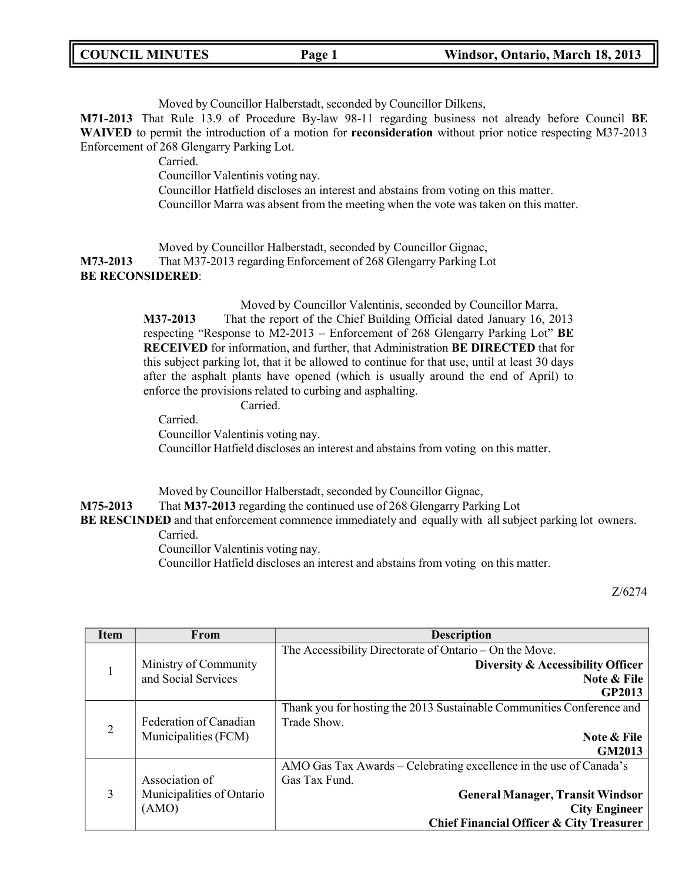|  |  | <b>COUNCIL MINUTES</b> |
|--|--|------------------------|
|--|--|------------------------|

Moved by Councillor Halberstadt, seconded by Councillor Dilkens,

**M71-2013** That Rule 13.9 of Procedure By-law 98-11 regarding business not already before Council **BE WAIVED** to permit the introduction of a motion for **reconsideration** without prior notice respecting M37-2013 Enforcement of 268 Glengarry Parking Lot.

Carried.

Councillor Valentinis voting nay.

Councillor Hatfield discloses an interest and abstains from voting on this matter. Councillor Marra was absent from the meeting when the vote was taken on this matter.

Moved by Councillor Halberstadt, seconded by Councillor Gignac, **M73-2013** That M37-2013 regarding Enforcement of 268 Glengarry Parking Lot **BE RECONSIDERED**:

> Moved by Councillor Valentinis, seconded by Councillor Marra, **M37-2013** That the report of the Chief Building Official dated January 16, 2013 respecting "Response to M2-2013 – Enforcement of 268 Glengarry Parking Lot" **BE RECEIVED** for information, and further, that Administration **BE DIRECTED** that for this subject parking lot, that it be allowed to continue for that use, until at least 30 days after the asphalt plants have opened (which is usually around the end of April) to enforce the provisions related to curbing and asphalting.

> > Carried.

Carried. Councillor Valentinis voting nay. Councillor Hatfield discloses an interest and abstains from voting on this matter.

Moved by Councillor Halberstadt, seconded by Councillor Gignac, **M75-2013** That **M37-2013** regarding the continued use of 268 Glengarry Parking Lot **BE RESCINDED** and that enforcement commence immediately and equally with all subject parking lot owners. Carried. Councillor Valentinis voting nay.

Councillor Hatfield discloses an interest and abstains from voting on this matter.

Z/6274

| <b>Item</b>    | From                      | <b>Description</b>                                                    |
|----------------|---------------------------|-----------------------------------------------------------------------|
|                |                           | The Accessibility Directorate of Ontario – On the Move.               |
| 1              | Ministry of Community     | Diversity & Accessibility Officer                                     |
|                | and Social Services       | Note & File                                                           |
|                |                           | GP2013                                                                |
| $\overline{2}$ |                           | Thank you for hosting the 2013 Sustainable Communities Conference and |
|                | Federation of Canadian    | Trade Show.                                                           |
|                | Municipalities (FCM)      | Note & File                                                           |
|                |                           | GM2013                                                                |
|                |                           | AMO Gas Tax Awards - Celebrating excellence in the use of Canada's    |
|                | Association of            | Gas Tax Fund.                                                         |
| 3              | Municipalities of Ontario | <b>General Manager, Transit Windsor</b>                               |
|                | (AMO)                     | <b>City Engineer</b>                                                  |
|                |                           | Chief Financial Officer & City Treasurer                              |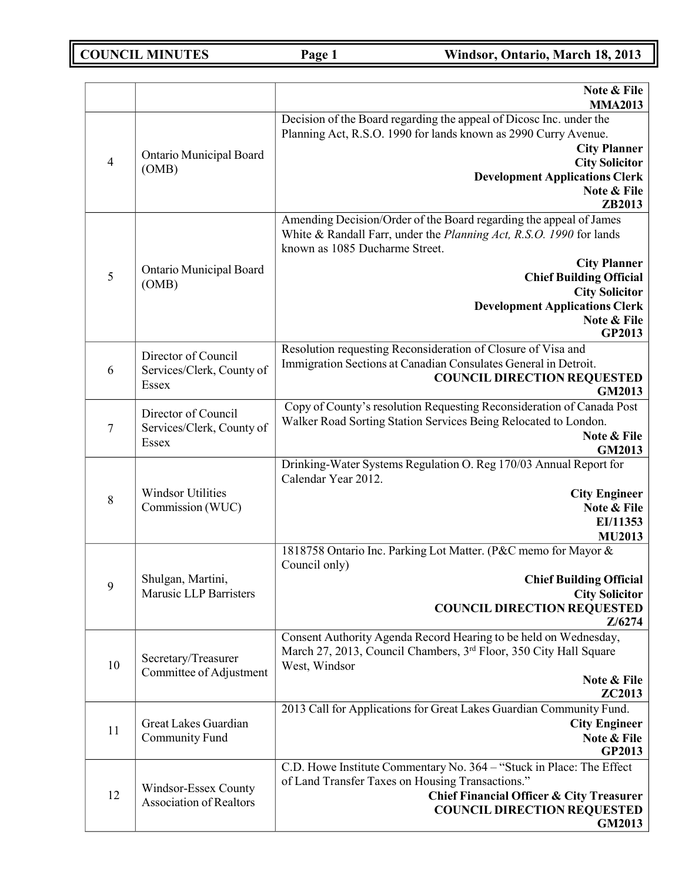|                |                                                                  | Note & File<br><b>MMA2013</b>                                                                                                                                                                                                                                                                                                   |
|----------------|------------------------------------------------------------------|---------------------------------------------------------------------------------------------------------------------------------------------------------------------------------------------------------------------------------------------------------------------------------------------------------------------------------|
| $\overline{4}$ | Ontario Municipal Board<br>(OMB)                                 | Decision of the Board regarding the appeal of Dicosc Inc. under the<br>Planning Act, R.S.O. 1990 for lands known as 2990 Curry Avenue.<br><b>City Planner</b><br><b>City Solicitor</b><br><b>Development Applications Clerk</b><br>Note & File<br>ZB2013                                                                        |
| 5              | Ontario Municipal Board<br>(OMB)                                 | Amending Decision/Order of the Board regarding the appeal of James<br>White & Randall Farr, under the Planning Act, R.S.O. 1990 for lands<br>known as 1085 Ducharme Street.<br><b>City Planner</b><br><b>Chief Building Official</b><br><b>City Solicitor</b><br><b>Development Applications Clerk</b><br>Note & File<br>GP2013 |
| 6              | Director of Council<br>Services/Clerk, County of<br>Essex        | Resolution requesting Reconsideration of Closure of Visa and<br>Immigration Sections at Canadian Consulates General in Detroit.<br><b>COUNCIL DIRECTION REQUESTED</b><br>GM2013                                                                                                                                                 |
| $\tau$         | Director of Council<br>Services/Clerk, County of<br><b>Essex</b> | Copy of County's resolution Requesting Reconsideration of Canada Post<br>Walker Road Sorting Station Services Being Relocated to London.<br>Note & File<br>GM2013                                                                                                                                                               |
| $\,8\,$        | <b>Windsor Utilities</b><br>Commission (WUC)                     | Drinking-Water Systems Regulation O. Reg 170/03 Annual Report for<br>Calendar Year 2012.<br><b>City Engineer</b><br>Note & File<br>EI/11353<br><b>MU2013</b>                                                                                                                                                                    |
| 9              | Shulgan, Martini,<br><b>Marusic LLP Barristers</b>               | 1818758 Ontario Inc. Parking Lot Matter. (P&C memo for Mayor &<br>Council only)<br><b>Chief Building Official</b><br><b>City Solicitor</b><br><b>COUNCIL DIRECTION REQUESTED</b><br>Z/6274                                                                                                                                      |
| 10             | Secretary/Treasurer<br>Committee of Adjustment                   | Consent Authority Agenda Record Hearing to be held on Wednesday,<br>March 27, 2013, Council Chambers, 3 <sup>rd</sup> Floor, 350 City Hall Square<br>West, Windsor<br>Note & File<br>ZC2013                                                                                                                                     |
| 11             | Great Lakes Guardian<br>Community Fund                           | 2013 Call for Applications for Great Lakes Guardian Community Fund.<br><b>City Engineer</b><br>Note & File<br>GP2013                                                                                                                                                                                                            |
| 12             | Windsor-Essex County<br><b>Association of Realtors</b>           | C.D. Howe Institute Commentary No. 364 - "Stuck in Place: The Effect<br>of Land Transfer Taxes on Housing Transactions."<br><b>Chief Financial Officer &amp; City Treasurer</b><br><b>COUNCIL DIRECTION REQUESTED</b><br><b>GM2013</b>                                                                                          |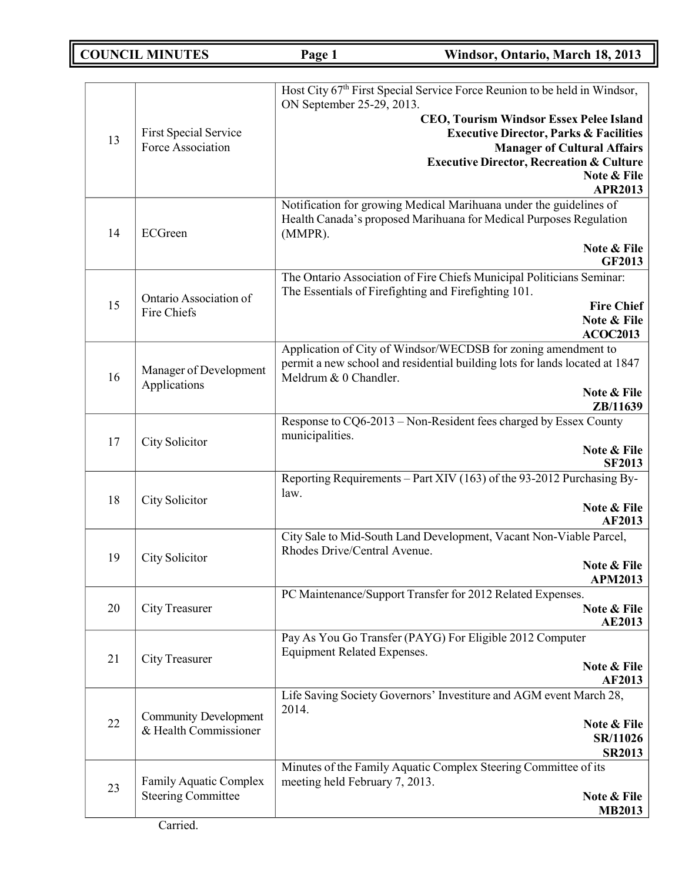|    |                              | Host City 67 <sup>th</sup> First Special Service Force Reunion to be held in Windsor, |
|----|------------------------------|---------------------------------------------------------------------------------------|
|    |                              | ON September 25-29, 2013.                                                             |
|    |                              | <b>CEO, Tourism Windsor Essex Pelee Island</b>                                        |
|    | <b>First Special Service</b> | <b>Executive Director, Parks &amp; Facilities</b>                                     |
| 13 | Force Association            | <b>Manager of Cultural Affairs</b>                                                    |
|    |                              | <b>Executive Director, Recreation &amp; Culture</b>                                   |
|    |                              | Note & File                                                                           |
|    |                              | <b>APR2013</b>                                                                        |
|    |                              | Notification for growing Medical Marihuana under the guidelines of                    |
|    |                              | Health Canada's proposed Marihuana for Medical Purposes Regulation                    |
| 14 | ECGreen                      | (MMPR).                                                                               |
|    |                              | Note & File                                                                           |
|    |                              | <b>GF2013</b>                                                                         |
|    |                              | The Ontario Association of Fire Chiefs Municipal Politicians Seminar:                 |
|    | Ontario Association of       | The Essentials of Firefighting and Firefighting 101.                                  |
| 15 | Fire Chiefs                  | <b>Fire Chief</b>                                                                     |
|    |                              | Note & File                                                                           |
|    |                              | <b>ACOC2013</b>                                                                       |
|    |                              | Application of City of Windsor/WECDSB for zoning amendment to                         |
|    | Manager of Development       | permit a new school and residential building lots for lands located at 1847           |
| 16 | Applications                 | Meldrum & 0 Chandler.                                                                 |
|    |                              | Note & File                                                                           |
|    |                              | ZB/11639                                                                              |
|    |                              | Response to CQ6-2013 – Non-Resident fees charged by Essex County<br>municipalities.   |
| 17 | City Solicitor               | Note & File                                                                           |
|    |                              | <b>SF2013</b>                                                                         |
|    |                              | Reporting Requirements – Part XIV (163) of the 93-2012 Purchasing By-                 |
|    |                              | law.                                                                                  |
| 18 | City Solicitor               | Note & File                                                                           |
|    |                              | <b>AF2013</b>                                                                         |
|    |                              | City Sale to Mid-South Land Development, Vacant Non-Viable Parcel,                    |
| 19 | City Solicitor               | Rhodes Drive/Central Avenue.                                                          |
|    |                              | Note & File                                                                           |
|    |                              | <b>APM2013</b>                                                                        |
|    |                              | PC Maintenance/Support Transfer for 2012 Related Expenses.                            |
| 20 | City Treasurer               | Note & File                                                                           |
|    |                              | <b>AE2013</b>                                                                         |
|    |                              | Pay As You Go Transfer (PAYG) For Eligible 2012 Computer                              |
| 21 | <b>City Treasurer</b>        | <b>Equipment Related Expenses.</b><br>Note & File                                     |
|    |                              | AF2013                                                                                |
|    |                              | Life Saving Society Governors' Investiture and AGM event March 28,                    |
|    |                              | 2014.                                                                                 |
| 22 | <b>Community Development</b> | Note & File                                                                           |
|    | & Health Commissioner        | SR/11026                                                                              |
|    |                              | <b>SR2013</b>                                                                         |
|    |                              | Minutes of the Family Aquatic Complex Steering Committee of its                       |
| 23 | Family Aquatic Complex       | meeting held February 7, 2013.                                                        |
|    | <b>Steering Committee</b>    | Note & File                                                                           |
|    |                              | <b>MB2013</b>                                                                         |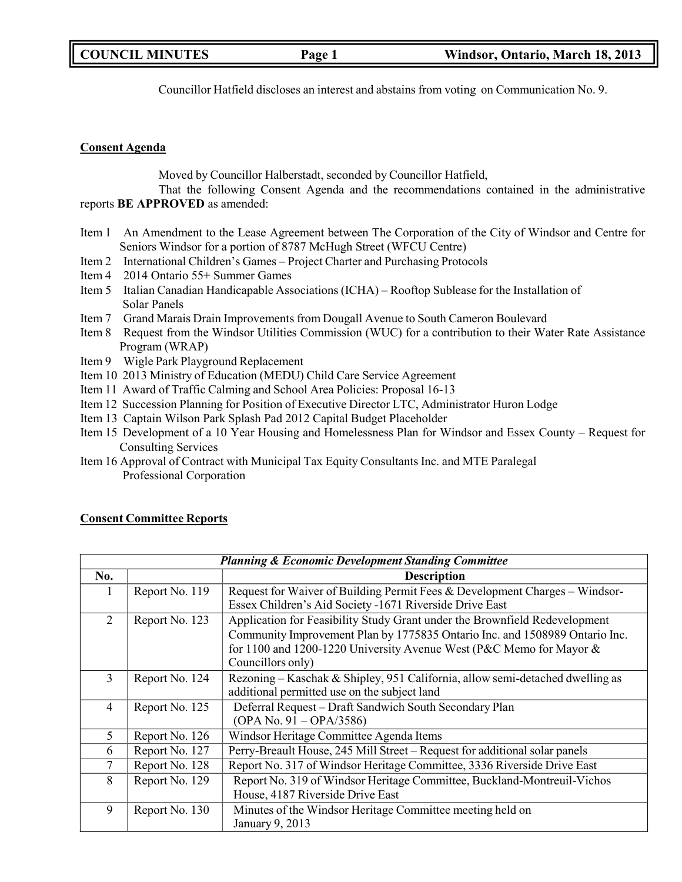| <b>COUNCIL MINUTES</b> | Page 1 | Windsor, Ontario, March 18, 2013 |
|------------------------|--------|----------------------------------|
|                        |        |                                  |

Councillor Hatfield discloses an interest and abstains from voting on Communication No. 9.

### **Consent Agenda**

Moved by Councillor Halberstadt, seconded by Councillor Hatfield,

That the following Consent Agenda and the recommendations contained in the administrative reports **BE APPROVED** as amended:

- Item 1 An Amendment to the Lease Agreement between The Corporation of the City of Windsor and Centre for Seniors Windsor for a portion of 8787 McHugh Street (WFCU Centre)
- Item 2 International Children's Games Project Charter and Purchasing Protocols
- Item 4 2014 Ontario 55+ Summer Games
- Item 5 Italian Canadian Handicapable Associations (ICHA) Rooftop Sublease for the Installation of Solar Panels
- Item 7 Grand Marais Drain Improvements from Dougall Avenue to South Cameron Boulevard
- Item 8 Request from the Windsor Utilities Commission (WUC) for a contribution to their Water Rate Assistance Program (WRAP)
- Item 9 Wigle Park Playground Replacement
- Item 10 2013 Ministry of Education (MEDU) Child Care Service Agreement
- Item 11 Award of Traffic Calming and School Area Policies: Proposal 16-13
- Item 12 Succession Planning for Position of Executive Director LTC, Administrator Huron Lodge
- Item 13 Captain Wilson Park Splash Pad 2012 Capital Budget Placeholder
- Item 15 Development of a 10 Year Housing and Homelessness Plan for Windsor and Essex County Request for Consulting Services
- Item 16 Approval of Contract with Municipal Tax Equity Consultants Inc. and MTE Paralegal Professional Corporation

## **Consent Committee Reports**

| <b>Planning &amp; Economic Development Standing Committee</b> |                |                                                                               |  |
|---------------------------------------------------------------|----------------|-------------------------------------------------------------------------------|--|
| No.                                                           |                | <b>Description</b>                                                            |  |
| 1                                                             | Report No. 119 | Request for Waiver of Building Permit Fees & Development Charges - Windsor-   |  |
|                                                               |                | Essex Children's Aid Society -1671 Riverside Drive East                       |  |
| 2                                                             | Report No. 123 | Application for Feasibility Study Grant under the Brownfield Redevelopment    |  |
|                                                               |                | Community Improvement Plan by 1775835 Ontario Inc. and 1508989 Ontario Inc.   |  |
|                                                               |                | for 1100 and 1200-1220 University Avenue West (P&C Memo for Mayor &           |  |
|                                                               |                | Councillors only)                                                             |  |
| 3                                                             | Report No. 124 | Rezoning – Kaschak & Shipley, 951 California, allow semi-detached dwelling as |  |
|                                                               |                | additional permitted use on the subject land                                  |  |
| $\overline{4}$                                                | Report No. 125 | Deferral Request - Draft Sandwich South Secondary Plan                        |  |
|                                                               |                | $(OPA No. 91 - OPA/3586)$                                                     |  |
| 5                                                             | Report No. 126 | Windsor Heritage Committee Agenda Items                                       |  |
| 6                                                             | Report No. 127 | Perry-Breault House, 245 Mill Street – Request for additional solar panels    |  |
| 7                                                             | Report No. 128 | Report No. 317 of Windsor Heritage Committee, 3336 Riverside Drive East       |  |
| 8                                                             | Report No. 129 | Report No. 319 of Windsor Heritage Committee, Buckland-Montreuil-Vichos       |  |
|                                                               |                | House, 4187 Riverside Drive East                                              |  |
| 9                                                             | Report No. 130 | Minutes of the Windsor Heritage Committee meeting held on                     |  |
|                                                               |                | January 9, 2013                                                               |  |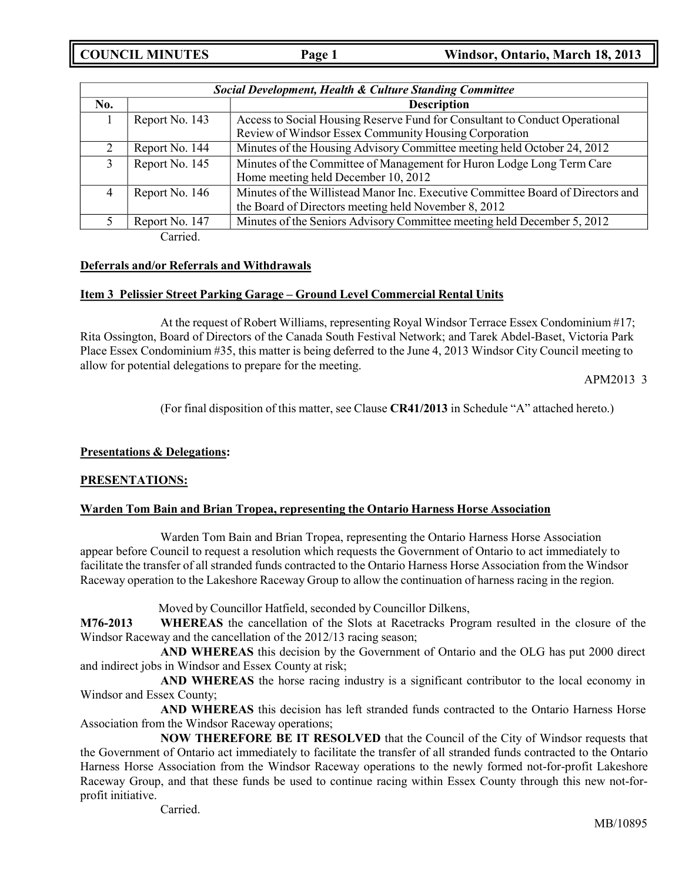| <b>Social Development, Health &amp; Culture Standing Committee</b> |                |                                                                                 |  |
|--------------------------------------------------------------------|----------------|---------------------------------------------------------------------------------|--|
| No.                                                                |                | <b>Description</b>                                                              |  |
|                                                                    | Report No. 143 | Access to Social Housing Reserve Fund for Consultant to Conduct Operational     |  |
|                                                                    |                | Review of Windsor Essex Community Housing Corporation                           |  |
| 2                                                                  | Report No. 144 | Minutes of the Housing Advisory Committee meeting held October 24, 2012         |  |
| 3                                                                  | Report No. 145 | Minutes of the Committee of Management for Huron Lodge Long Term Care           |  |
|                                                                    |                | Home meeting held December 10, 2012                                             |  |
| 4                                                                  | Report No. 146 | Minutes of the Willistead Manor Inc. Executive Committee Board of Directors and |  |
|                                                                    |                | the Board of Directors meeting held November 8, 2012                            |  |
|                                                                    | Report No. 147 | Minutes of the Seniors Advisory Committee meeting held December 5, 2012         |  |
|                                                                    | Carried.       |                                                                                 |  |

## **Deferrals and/or Referrals and Withdrawals**

## **Item 3 Pelissier Street Parking Garage – Ground Level Commercial Rental Units**

At the request of Robert Williams, representing Royal Windsor Terrace Essex Condominium #17; Rita Ossington, Board of Directors of the Canada South Festival Network; and Tarek Abdel-Baset, Victoria Park Place Essex Condominium #35, this matter is being deferred to the June 4, 2013 Windsor City Council meeting to allow for potential delegations to prepare for the meeting.

APM2013 3

(For final disposition of this matter, see Clause **CR41/2013** in Schedule "A" attached hereto.)

## **Presentations & Delegations:**

## **PRESENTATIONS:**

## **Warden Tom Bain and Brian Tropea, representing the Ontario Harness Horse Association**

Warden Tom Bain and Brian Tropea, representing the Ontario Harness Horse Association appear before Council to request a resolution which requests the Government of Ontario to act immediately to facilitate the transfer of all stranded funds contracted to the Ontario Harness Horse Association from the Windsor Raceway operation to the Lakeshore Raceway Group to allow the continuation of harness racing in the region.

Moved by Councillor Hatfield, seconded by Councillor Dilkens,

**M76-2013 WHEREAS** the cancellation of the Slots at Racetracks Program resulted in the closure of the Windsor Raceway and the cancellation of the 2012/13 racing season;

**AND WHEREAS** this decision by the Government of Ontario and the OLG has put 2000 direct and indirect jobs in Windsor and Essex County at risk;

**AND WHEREAS** the horse racing industry is a significant contributor to the local economy in Windsor and Essex County;

**AND WHEREAS** this decision has left stranded funds contracted to the Ontario Harness Horse Association from the Windsor Raceway operations;

**NOW THEREFORE BE IT RESOLVED** that the Council of the City of Windsor requests that the Government of Ontario act immediately to facilitate the transfer of all stranded funds contracted to the Ontario Harness Horse Association from the Windsor Raceway operations to the newly formed not-for-profit Lakeshore Raceway Group, and that these funds be used to continue racing within Essex County through this new not-forprofit initiative.

Carried.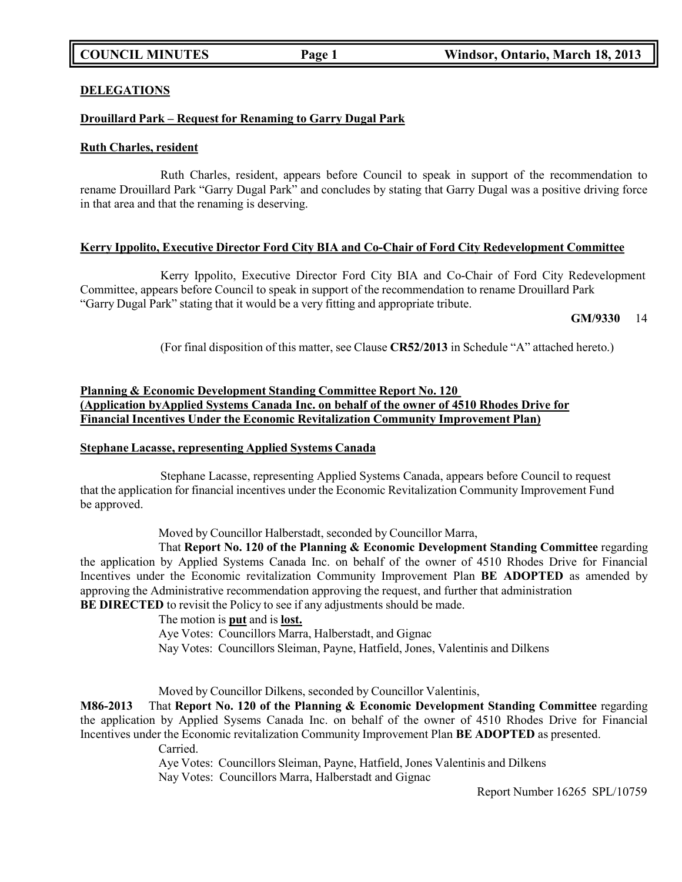#### **DELEGATIONS**

### **Drouillard Park – Request for Renaming to Garry Dugal Park**

#### **Ruth Charles, resident**

Ruth Charles, resident, appears before Council to speak in support of the recommendation to rename Drouillard Park "Garry Dugal Park" and concludes by stating that Garry Dugal was a positive driving force in that area and that the renaming is deserving.

### **Kerry Ippolito, Executive Director Ford City BIA and Co-Chair of Ford City Redevelopment Committee**

Kerry Ippolito, Executive Director Ford City BIA and Co-Chair of Ford City Redevelopment Committee, appears before Council to speak in support of the recommendation to rename Drouillard Park "Garry Dugal Park" stating that it would be a very fitting and appropriate tribute.

### **GM/9330** 14

(For final disposition of this matter, see Clause **CR52/2013** in Schedule "A" attached hereto.)

## **Planning & Economic Development Standing Committee Report No. 120 (Application byApplied Systems Canada Inc. on behalf of the owner of 4510 Rhodes Drive for Financial Incentives Under the Economic Revitalization Community Improvement Plan)**

#### **Stephane Lacasse, representing Applied Systems Canada**

Stephane Lacasse, representing Applied Systems Canada, appears before Council to request that the application for financial incentives under the Economic Revitalization Community Improvement Fund be approved.

Moved by Councillor Halberstadt, seconded by Councillor Marra,

That **Report No. 120 of the Planning & Economic Development Standing Committee** regarding the application by Applied Systems Canada Inc. on behalf of the owner of 4510 Rhodes Drive for Financial Incentives under the Economic revitalization Community Improvement Plan **BE ADOPTED** as amended by approving the Administrative recommendation approving the request, and further that administration **BE DIRECTED** to revisit the Policy to see if any adjustments should be made.

The motion is **put** and is **lost.**

Aye Votes: Councillors Marra, Halberstadt, and Gignac

Nay Votes: Councillors Sleiman, Payne, Hatfield, Jones, Valentinis and Dilkens

Moved by Councillor Dilkens, seconded by Councillor Valentinis,

**M86-2013** That **Report No. 120 of the Planning & Economic Development Standing Committee** regarding the application by Applied Sysems Canada Inc. on behalf of the owner of 4510 Rhodes Drive for Financial Incentives under the Economic revitalization Community Improvement Plan **BE ADOPTED** as presented. Carried.

> Aye Votes: Councillors Sleiman, Payne, Hatfield, Jones Valentinis and Dilkens Nay Votes: Councillors Marra, Halberstadt and Gignac

> > Report Number 16265 SPL/10759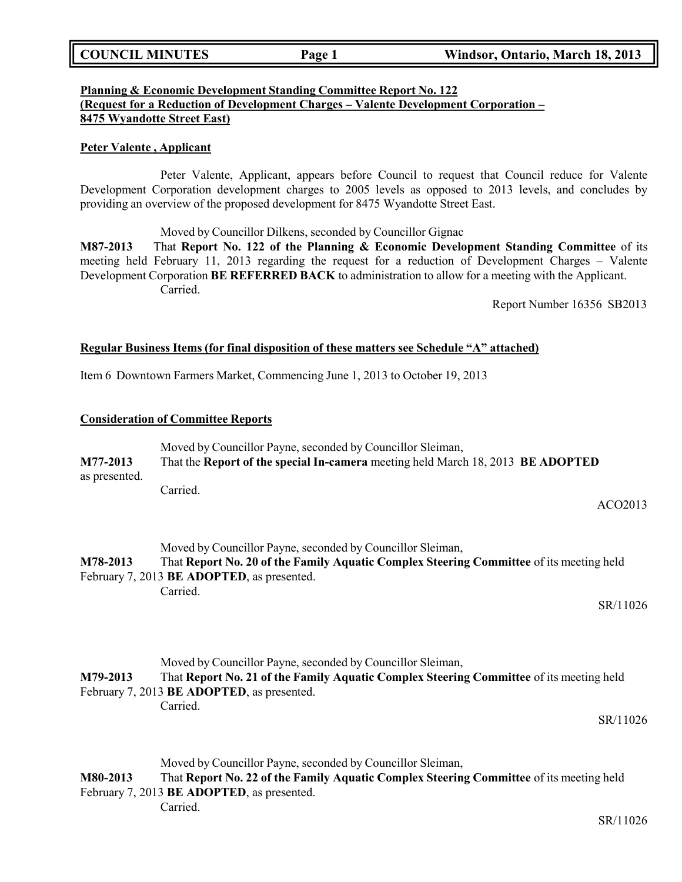## **Planning & Economic Development Standing Committee Report No. 122 (Request for a Reduction of Development Charges – Valente Development Corporation – 8475 Wyandotte Street East)**

### **Peter Valente , Applicant**

Peter Valente, Applicant, appears before Council to request that Council reduce for Valente Development Corporation development charges to 2005 levels as opposed to 2013 levels, and concludes by providing an overview of the proposed development for 8475 Wyandotte Street East.

Moved by Councillor Dilkens, seconded by Councillor Gignac

**M87-2013** That **Report No. 122 of the Planning & Economic Development Standing Committee** of its meeting held February 11, 2013 regarding the request for a reduction of Development Charges – Valente Development Corporation **BE REFERRED BACK** to administration to allow for a meeting with the Applicant. Carried.

Report Number 16356 SB2013

### **Regular Business Items (for final disposition of these matters see Schedule "A" attached)**

Item 6 Downtown Farmers Market, Commencing June 1, 2013 to October 19, 2013

### **Consideration of Committee Reports**

|               | Moved by Councillor Payne, seconded by Councillor Sleiman,                      |  |
|---------------|---------------------------------------------------------------------------------|--|
| M77-2013      | That the Report of the special In-camera meeting held March 18, 2013 BE ADOPTED |  |
| as presented. |                                                                                 |  |
|               | Carried.                                                                        |  |

ACO2013

Moved by Councillor Payne, seconded by Councillor Sleiman, **M78-2013** That **Report No. 20 of the Family Aquatic Complex Steering Committee** of its meeting held February 7, 2013 **BE ADOPTED**, as presented. Carried.

SR/11026

|          | Moved by Councillor Payne, seconded by Councillor Sleiman, |                                                                                         |
|----------|------------------------------------------------------------|-----------------------------------------------------------------------------------------|
| M79-2013 |                                                            | That Report No. 21 of the Family Aquatic Complex Steering Committee of its meeting held |
|          | February 7, 2013 BE ADOPTED, as presented.                 |                                                                                         |
|          | Carried.                                                   |                                                                                         |
|          |                                                            | SR/11026                                                                                |

Moved by Councillor Payne, seconded by Councillor Sleiman,

**M80-2013** That **Report No. 22 of the Family Aquatic Complex Steering Committee** of its meeting held February 7, 2013 **BE ADOPTED**, as presented.

Carried.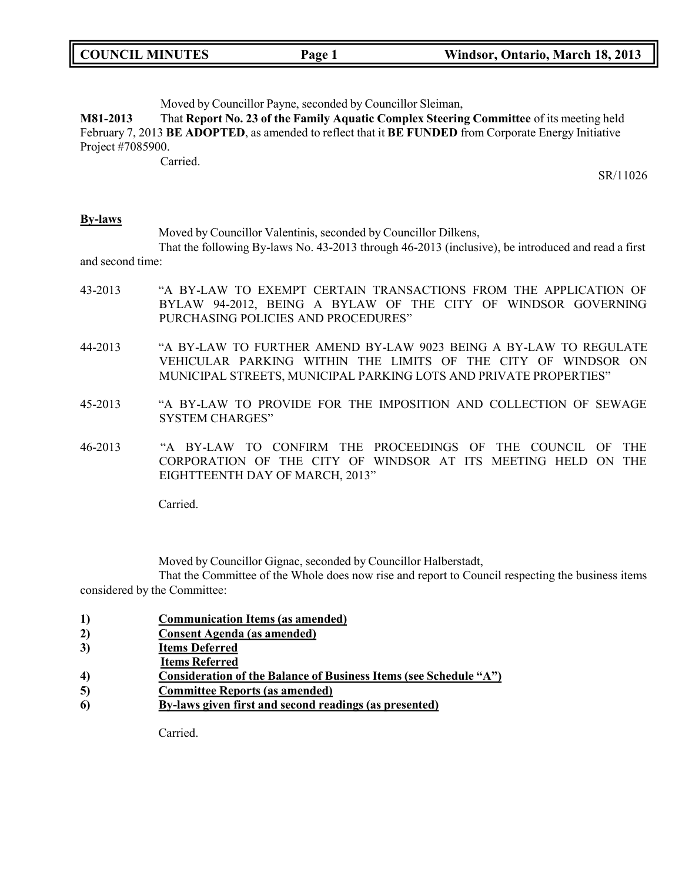| <b>COUNCIL MINUTES</b> | Page 1 | Windsor, Ontario, March 18, 2013 |
|------------------------|--------|----------------------------------|
|------------------------|--------|----------------------------------|

Moved by Councillor Payne, seconded by Councillor Sleiman,

**M81-2013** That **Report No. 23 of the Family Aquatic Complex Steering Committee** of its meeting held February 7, 2013 **BE ADOPTED**, as amended to reflect that it **BE FUNDED** from Corporate Energy Initiative Project #7085900.

Carried.

SR/11026

#### **By-laws**

Moved by Councillor Valentinis, seconded by Councillor Dilkens,

That the following By-laws No. 43-2013 through 46-2013 (inclusive), be introduced and read a first and second time:

- 43-2013 "A BY-LAW TO EXEMPT CERTAIN TRANSACTIONS FROM THE APPLICATION OF BYLAW 94-2012, BEING A BYLAW OF THE CITY OF WINDSOR GOVERNING PURCHASING POLICIES AND PROCEDURES"
- 44-2013 "A BY-LAW TO FURTHER AMEND BY-LAW 9023 BEING A BY-LAW TO REGULATE VEHICULAR PARKING WITHIN THE LIMITS OF THE CITY OF WINDSOR ON MUNICIPAL STREETS, MUNICIPAL PARKING LOTS AND PRIVATE PROPERTIES"
- 45-2013 "A BY-LAW TO PROVIDE FOR THE IMPOSITION AND COLLECTION OF SEWAGE SYSTEM CHARGES"
- 46-2013 "A BY-LAW TO CONFIRM THE PROCEEDINGS OF THE COUNCIL OF THE CORPORATION OF THE CITY OF WINDSOR AT ITS MEETING HELD ON THE EIGHTTEENTH DAY OF MARCH, 2013"

Carried.

Moved by Councillor Gignac, seconded by Councillor Halberstadt,

That the Committee of the Whole does now rise and report to Council respecting the business items considered by the Committee:

- **1) Communication Items (as amended)**
- **2) Consent Agenda (as amended)**
- **3) Items Deferred**
- **Items Referred**
- **4) Consideration of the Balance of Business Items (see Schedule "A")**
- **5) Committee Reports (as amended)**
- **6) By-laws given first and second readings (as presented)**

Carried.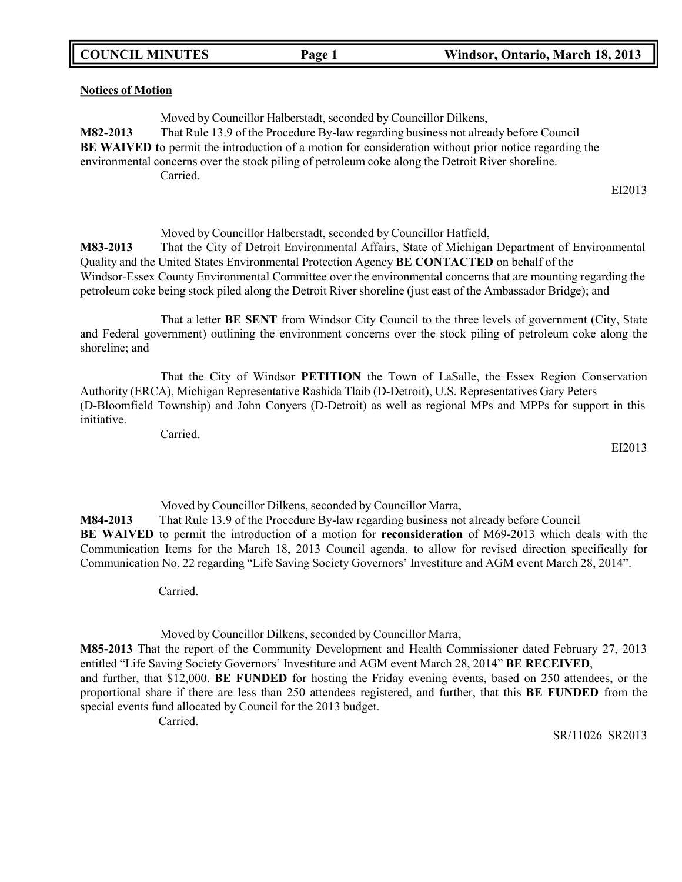#### **Notices of Motion**

Moved by Councillor Halberstadt, seconded by Councillor Dilkens, **M82-2013** That Rule 13.9 of the Procedure By-law regarding business not already before Council **BE WAIVED t**o permit the introduction of a motion for consideration without prior notice regarding the environmental concerns over the stock piling of petroleum coke along the Detroit River shoreline. Carried.

EI2013

Moved by Councillor Halberstadt, seconded by Councillor Hatfield,

**M83-2013** That the City of Detroit Environmental Affairs, State of Michigan Department of Environmental Quality and the United States Environmental Protection Agency **BE CONTACTED** on behalf of the Windsor-Essex County Environmental Committee over the environmental concerns that are mounting regarding the petroleum coke being stock piled along the Detroit River shoreline (just east of the Ambassador Bridge); and

That a letter **BE SENT** from Windsor City Council to the three levels of government (City, State and Federal government) outlining the environment concerns over the stock piling of petroleum coke along the shoreline; and

That the City of Windsor **PETITION** the Town of LaSalle, the Essex Region Conservation Authority (ERCA), Michigan Representative Rashida Tlaib (D-Detroit), U.S. Representatives Gary Peters (D-Bloomfield Township) and John Conyers (D-Detroit) as well as regional MPs and MPPs for support in this initiative.

Carried.

EI2013

Moved by Councillor Dilkens, seconded by Councillor Marra, **M84-2013** That Rule 13.9 of the Procedure By-law regarding business not already before Council **BE WAIVED** to permit the introduction of a motion for **reconsideration** of M69-2013 which deals with the Communication Items for the March 18, 2013 Council agenda, to allow for revised direction specifically for Communication No. 22 regarding "Life Saving Society Governors' Investiture and AGM event March 28, 2014".

Carried.

Moved by Councillor Dilkens, seconded by Councillor Marra,

**M85-2013** That the report of the Community Development and Health Commissioner dated February 27, 2013 entitled "Life Saving Society Governors' Investiture and AGM event March 28, 2014" **BE RECEIVED**,

and further, that \$12,000. **BE FUNDED** for hosting the Friday evening events, based on 250 attendees, or the proportional share if there are less than 250 attendees registered, and further, that this **BE FUNDED** from the special events fund allocated by Council for the 2013 budget.

Carried.

SR/11026 SR2013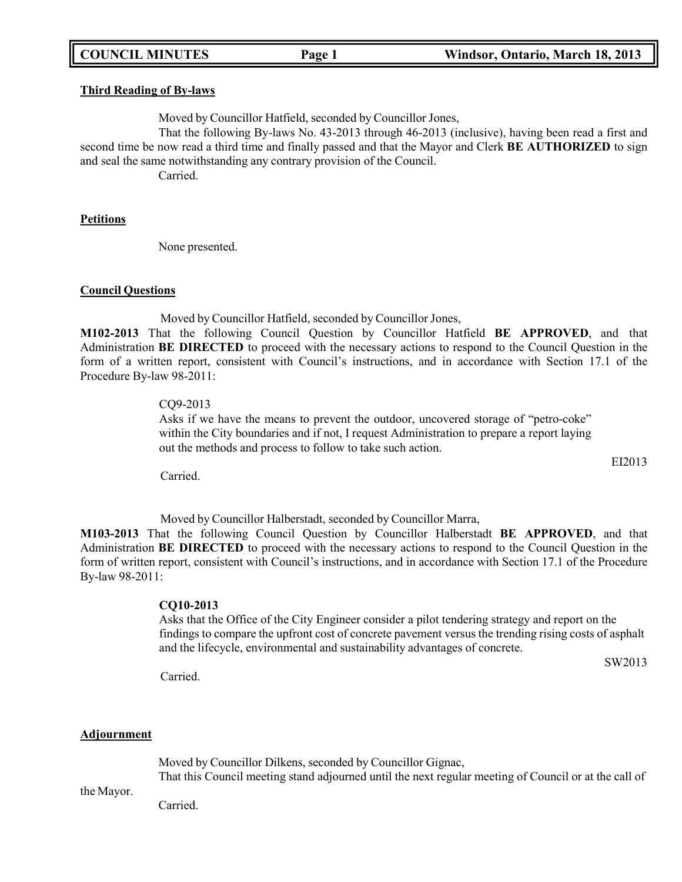**Third Reading of By-laws**

Moved by Councillor Hatfield, seconded by Councillor Jones,

That the following By-laws No. 43-2013 through 46-2013 (inclusive), having been read a first and second time be now read a third time and finally passed and that the Mayor and Clerk **BE AUTHORIZED** to sign and seal the same notwithstanding any contrary provision of the Council.

Carried.

#### **Petitions**

None presented.

## **Council Questions**

Moved by Councillor Hatfield, seconded by Councillor Jones,

**M102-2013** That the following Council Question by Councillor Hatfield **BE APPROVED**, and that Administration **BE DIRECTED** to proceed with the necessary actions to respond to the Council Question in the form of a written report, consistent with Council's instructions, and in accordance with Section 17.1 of the Procedure By-law 98-2011:

### CQ9-2013

Asks if we have the means to prevent the outdoor, uncovered storage of "petro-coke" within the City boundaries and if not, I request Administration to prepare a report laying out the methods and process to follow to take such action.

Carried.

Moved by Councillor Halberstadt, seconded by Councillor Marra,

**M103-2013** That the following Council Question by Councillor Halberstadt **BE APPROVED**, and that Administration **BE DIRECTED** to proceed with the necessary actions to respond to the Council Question in the form of written report, consistent with Council's instructions, and in accordance with Section 17.1 of the Procedure By-law 98-2011:

## **CQ10-2013**

Asks that the Office of the City Engineer consider a pilot tendering strategy and report on the findings to compare the upfront cost of concrete pavement versus the trending rising costs of asphalt and the lifecycle, environmental and sustainability advantages of concrete.

SW2013

Carried.

## **Adjournment**

Moved by Councillor Dilkens, seconded by Councillor Gignac, That this Council meeting stand adjourned until the next regular meeting of Council or at the call of

the Mayor.

Carried.

## **COUNCIL MINUTES Page 1 Windsor, Ontario, March 18, 2013**

EI2013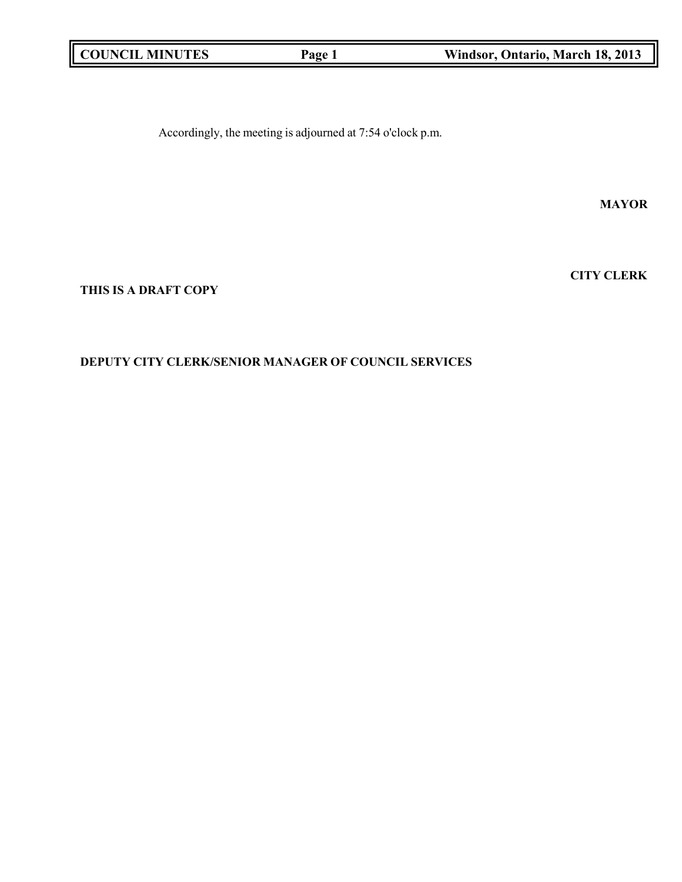| <b>COUNCIL MINUTES</b> | Page 1 | Windsor, Ontario, March 18, 2013 |
|------------------------|--------|----------------------------------|
|                        |        |                                  |

Accordingly, the meeting is adjourned at 7:54 o'clock p.m.

**MAYOR**

**THIS IS A DRAFT COPY**

## **DEPUTY CITY CLERK/SENIOR MANAGER OF COUNCIL SERVICES**

**CITY CLERK**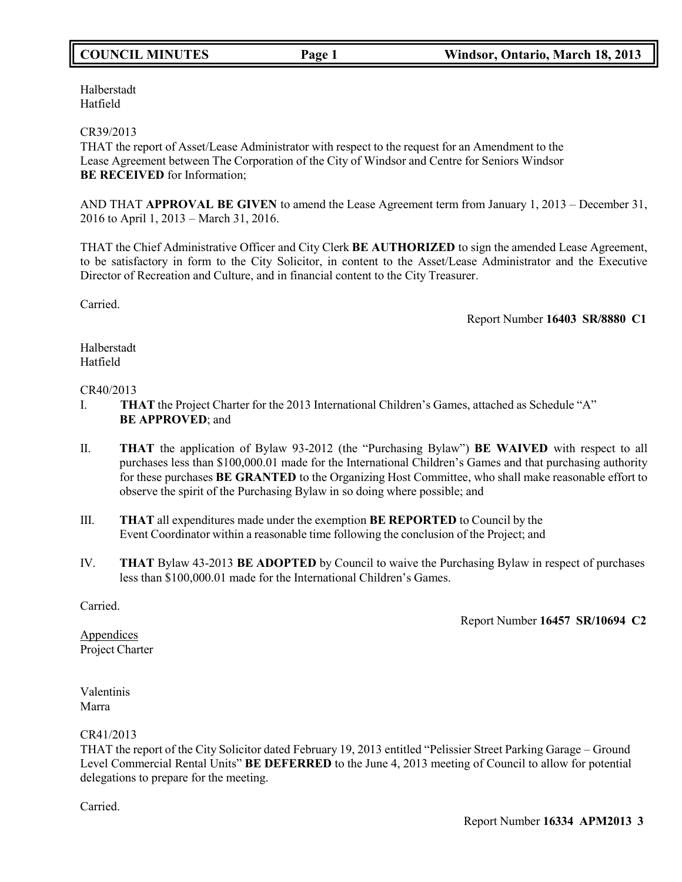Halberstadt Hatfield

## CR39/2013

THAT the report of Asset/Lease Administrator with respect to the request for an Amendment to the Lease Agreement between The Corporation of the City of Windsor and Centre for Seniors Windsor **BE RECEIVED** for Information;

AND THAT **APPROVAL BE GIVEN** to amend the Lease Agreement term from January 1, 2013 – December 31, 2016 to April 1, 2013 – March 31, 2016.

THAT the Chief Administrative Officer and City Clerk **BE AUTHORIZED** to sign the amended Lease Agreement, to be satisfactory in form to the City Solicitor, in content to the Asset/Lease Administrator and the Executive Director of Recreation and Culture, and in financial content to the City Treasurer.

Carried.

Report Number **16403 SR/8880 C1**

Halberstadt Hatfield

### CR40/2013

- I. **THAT** the Project Charter for the 2013 International Children's Games, attached as Schedule "A" **BE APPROVED**; and
- II. **THAT** the application of Bylaw 93-2012 (the "Purchasing Bylaw") **BE WAIVED** with respect to all purchases less than \$100,000.01 made for the International Children's Games and that purchasing authority for these purchases **BE GRANTED** to the Organizing Host Committee, who shall make reasonable effort to observe the spirit of the Purchasing Bylaw in so doing where possible; and
- III. **THAT** all expenditures made under the exemption **BE REPORTED** to Council by the Event Coordinator within a reasonable time following the conclusion of the Project; and
- IV. **THAT** Bylaw 43-2013 **BE ADOPTED** by Council to waive the Purchasing Bylaw in respect of purchases less than \$100,000.01 made for the International Children's Games.

Carried.

Report Number **16457 SR/10694 C2**

**Appendices** Project Charter

Valentinis Marra

## CR41/2013

THAT the report of the City Solicitor dated February 19, 2013 entitled "Pelissier Street Parking Garage – Ground Level Commercial Rental Units" **BE DEFERRED** to the June 4, 2013 meeting of Council to allow for potential delegations to prepare for the meeting.

Carried.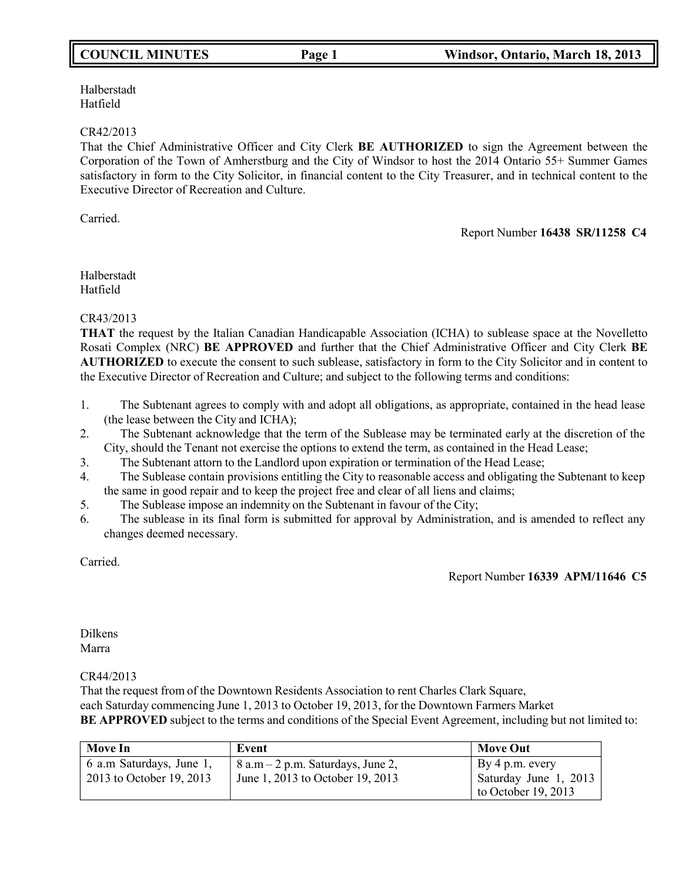Halberstadt Hatfield

## CR42/2013

That the Chief Administrative Officer and City Clerk **BE AUTHORIZED** to sign the Agreement between the Corporation of the Town of Amherstburg and the City of Windsor to host the 2014 Ontario 55+ Summer Games satisfactory in form to the City Solicitor, in financial content to the City Treasurer, and in technical content to the Executive Director of Recreation and Culture.

Carried.

Report Number **16438 SR/11258 C4**

Halberstadt Hatfield

CR43/2013

**THAT** the request by the Italian Canadian Handicapable Association (ICHA) to sublease space at the Novelletto Rosati Complex (NRC) **BE APPROVED** and further that the Chief Administrative Officer and City Clerk **BE AUTHORIZED** to execute the consent to such sublease, satisfactory in form to the City Solicitor and in content to the Executive Director of Recreation and Culture; and subject to the following terms and conditions:

- 1. The Subtenant agrees to comply with and adopt all obligations, as appropriate, contained in the head lease (the lease between the City and ICHA);
- 2. The Subtenant acknowledge that the term of the Sublease may be terminated early at the discretion of the City, should the Tenant not exercise the options to extend the term, as contained in the Head Lease;
- 3. The Subtenant attorn to the Landlord upon expiration or termination of the Head Lease;
- 4. The Sublease contain provisions entitling the City to reasonable access and obligating the Subtenant to keep the same in good repair and to keep the project free and clear of all liens and claims;
- 5. The Sublease impose an indemnity on the Subtenant in favour of the City;
- 6. The sublease in its final form is submitted for approval by Administration, and is amended to reflect any changes deemed necessary.

Carried.

Report Number **16339 APM/11646 C5**

Dilkens Marra

CR44/2013

That the request from of the Downtown Residents Association to rent Charles Clark Square, each Saturday commencing June 1, 2013 to October 19, 2013, for the Downtown Farmers Market **BE APPROVED** subject to the terms and conditions of the Special Event Agreement, including but not limited to:

| <b>Move In</b>                                       | Event                                                                         | <b>Move Out</b>                                                   |
|------------------------------------------------------|-------------------------------------------------------------------------------|-------------------------------------------------------------------|
| 6 a.m Saturdays, June 1,<br>2013 to October 19, 2013 | $\vert 8$ a.m – 2 p.m. Saturdays, June 2,<br>June 1, 2013 to October 19, 2013 | By 4 p.m. every<br>Saturday June 1, 2013<br>to October $19, 2013$ |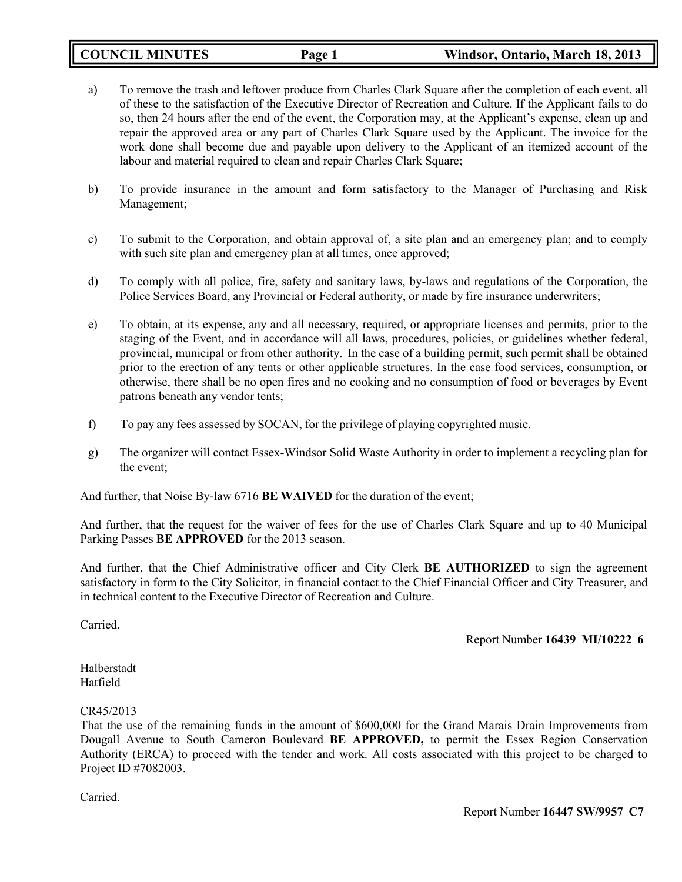| <b>COUNCIL MINUTES</b> | Page 1 | Windsor, Ontario, March 18, 2013 |
|------------------------|--------|----------------------------------|
|------------------------|--------|----------------------------------|

- a) To remove the trash and leftover produce from Charles Clark Square after the completion of each event, all of these to the satisfaction of the Executive Director of Recreation and Culture. If the Applicant fails to do so, then 24 hours after the end of the event, the Corporation may, at the Applicant's expense, clean up and repair the approved area or any part of Charles Clark Square used by the Applicant. The invoice for the work done shall become due and payable upon delivery to the Applicant of an itemized account of the labour and material required to clean and repair Charles Clark Square;
- b) To provide insurance in the amount and form satisfactory to the Manager of Purchasing and Risk Management;
- c) To submit to the Corporation, and obtain approval of, a site plan and an emergency plan; and to comply with such site plan and emergency plan at all times, once approved;
- d) To comply with all police, fire, safety and sanitary laws, by-laws and regulations of the Corporation, the Police Services Board, any Provincial or Federal authority, or made by fire insurance underwriters;
- e) To obtain, at its expense, any and all necessary, required, or appropriate licenses and permits, prior to the staging of the Event, and in accordance will all laws, procedures, policies, or guidelines whether federal, provincial, municipal or from other authority. In the case of a building permit, such permit shall be obtained prior to the erection of any tents or other applicable structures. In the case food services, consumption, or otherwise, there shall be no open fires and no cooking and no consumption of food or beverages by Event patrons beneath any vendor tents;
- f) To pay any fees assessed by SOCAN, for the privilege of playing copyrighted music.
- g) The organizer will contact Essex-Windsor Solid Waste Authority in order to implement a recycling plan for the event;

And further, that Noise By-law 6716 **BE WAIVED** for the duration of the event;

And further, that the request for the waiver of fees for the use of Charles Clark Square and up to 40 Municipal Parking Passes **BE APPROVED** for the 2013 season.

And further, that the Chief Administrative officer and City Clerk **BE AUTHORIZED** to sign the agreement satisfactory in form to the City Solicitor, in financial contact to the Chief Financial Officer and City Treasurer, and in technical content to the Executive Director of Recreation and Culture.

Carried.

Report Number **16439 MI/10222 6**

Halberstadt Hatfield

## CR45/2013

That the use of the remaining funds in the amount of \$600,000 for the Grand Marais Drain Improvements from Dougall Avenue to South Cameron Boulevard **BE APPROVED,** to permit the Essex Region Conservation Authority (ERCA) to proceed with the tender and work. All costs associated with this project to be charged to Project ID #7082003.

Carried.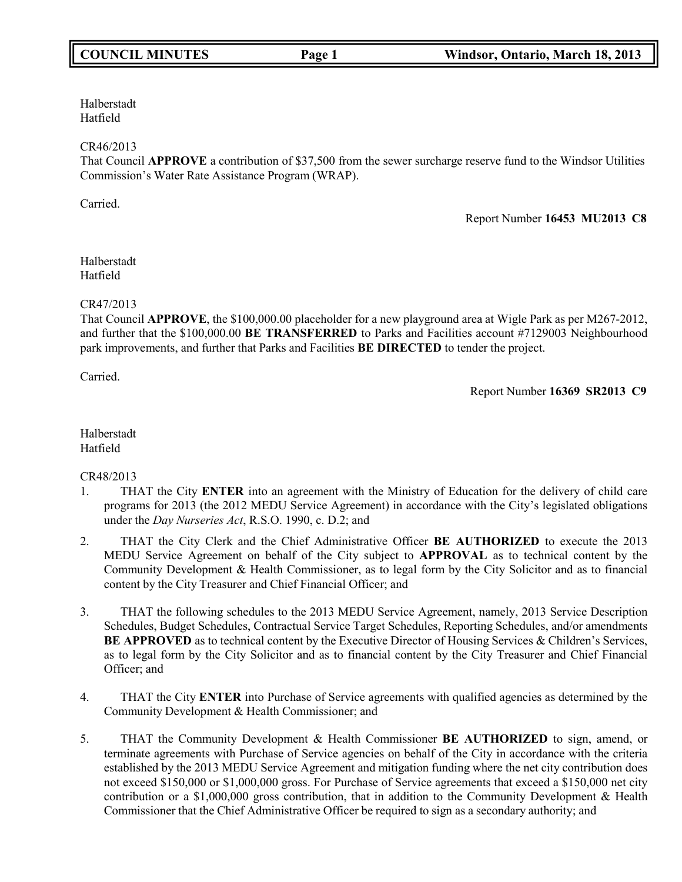Halberstadt Hatfield

### CR46/2013

That Council **APPROVE** a contribution of \$37,500 from the sewer surcharge reserve fund to the Windsor Utilities Commission's Water Rate Assistance Program (WRAP).

Carried.

Report Number **16453 MU2013 C8**

Halberstadt Hatfield

### CR47/2013

That Council **APPROVE**, the \$100,000.00 placeholder for a new playground area at Wigle Park as per M267-2012, and further that the \$100,000.00 **BE TRANSFERRED** to Parks and Facilities account #7129003 Neighbourhood park improvements, and further that Parks and Facilities **BE DIRECTED** to tender the project.

Carried.

Report Number **16369 SR2013 C9**

Halberstadt Hatfield

CR48/2013

- 1. THAT the City **ENTER** into an agreement with the Ministry of Education for the delivery of child care programs for 2013 (the 2012 MEDU Service Agreement) in accordance with the City's legislated obligations under the *Day Nurseries Act*, R.S.O. 1990, c. D.2; and
- 2. THAT the City Clerk and the Chief Administrative Officer **BE AUTHORIZED** to execute the 2013 MEDU Service Agreement on behalf of the City subject to **APPROVAL** as to technical content by the Community Development & Health Commissioner, as to legal form by the City Solicitor and as to financial content by the City Treasurer and Chief Financial Officer; and
- 3. THAT the following schedules to the 2013 MEDU Service Agreement, namely, 2013 Service Description Schedules, Budget Schedules, Contractual Service Target Schedules, Reporting Schedules, and/or amendments **BE APPROVED** as to technical content by the Executive Director of Housing Services & Children's Services, as to legal form by the City Solicitor and as to financial content by the City Treasurer and Chief Financial Officer; and
- 4. THAT the City **ENTER** into Purchase of Service agreements with qualified agencies as determined by the Community Development & Health Commissioner; and
- 5. THAT the Community Development & Health Commissioner **BE AUTHORIZED** to sign, amend, or terminate agreements with Purchase of Service agencies on behalf of the City in accordance with the criteria established by the 2013 MEDU Service Agreement and mitigation funding where the net city contribution does not exceed \$150,000 or \$1,000,000 gross. For Purchase of Service agreements that exceed a \$150,000 net city contribution or a \$1,000,000 gross contribution, that in addition to the Community Development & Health Commissioner that the Chief Administrative Officer be required to sign as a secondary authority; and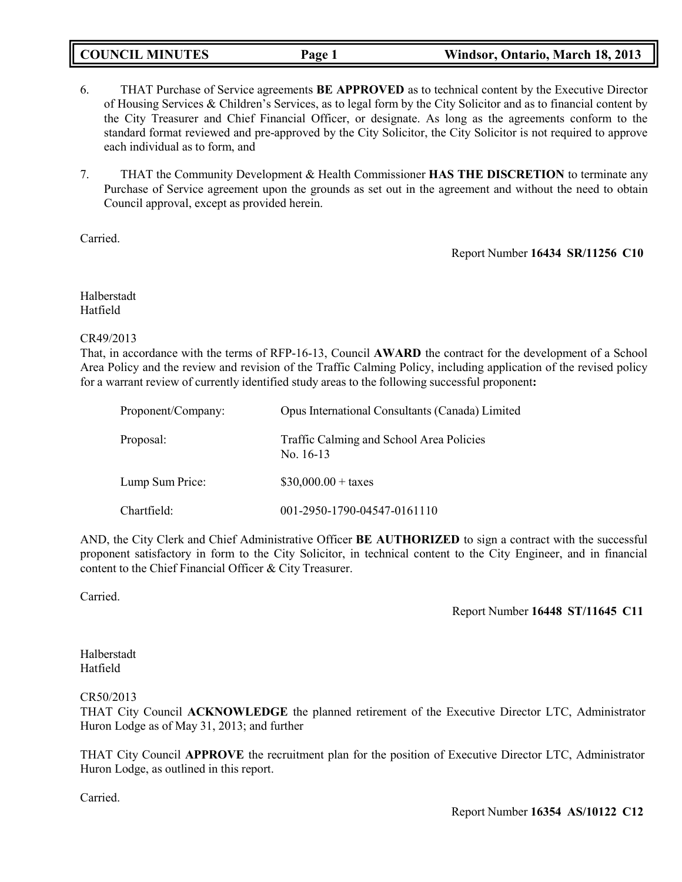| <b>COUNCIL MINUTES</b> | Page 1 | Windsor, Ontario, March 18, 2013 |
|------------------------|--------|----------------------------------|
|------------------------|--------|----------------------------------|

- 6. THAT Purchase of Service agreements **BE APPROVED** as to technical content by the Executive Director of Housing Services & Children's Services, as to legal form by the City Solicitor and as to financial content by the City Treasurer and Chief Financial Officer, or designate. As long as the agreements conform to the standard format reviewed and pre-approved by the City Solicitor, the City Solicitor is not required to approve each individual as to form, and
- 7. THAT the Community Development & Health Commissioner **HAS THE DISCRETION** to terminate any Purchase of Service agreement upon the grounds as set out in the agreement and without the need to obtain Council approval, except as provided herein.

Carried.

Report Number **16434 SR/11256 C10**

Halberstadt Hatfield

### CR49/2013

That, in accordance with the terms of RFP-16-13, Council **AWARD** the contract for the development of a School Area Policy and the review and revision of the Traffic Calming Policy, including application of the revised policy for a warrant review of currently identified study areas to the following successful proponent**:**

| Proponent/Company: | Opus International Consultants (Canada) Limited         |
|--------------------|---------------------------------------------------------|
| Proposal:          | Traffic Calming and School Area Policies<br>No. $16-13$ |
| Lump Sum Price:    | $$30,000.00 + \text{taxes}$                             |
| Chartfield:        | 001-2950-1790-04547-0161110                             |

AND, the City Clerk and Chief Administrative Officer **BE AUTHORIZED** to sign a contract with the successful proponent satisfactory in form to the City Solicitor, in technical content to the City Engineer, and in financial content to the Chief Financial Officer & City Treasurer.

Carried.

Report Number **16448 ST/11645 C11**

Halberstadt Hatfield

## CR50/2013

THAT City Council **ACKNOWLEDGE** the planned retirement of the Executive Director LTC, Administrator Huron Lodge as of May 31, 2013; and further

THAT City Council **APPROVE** the recruitment plan for the position of Executive Director LTC, Administrator Huron Lodge, as outlined in this report.

Carried.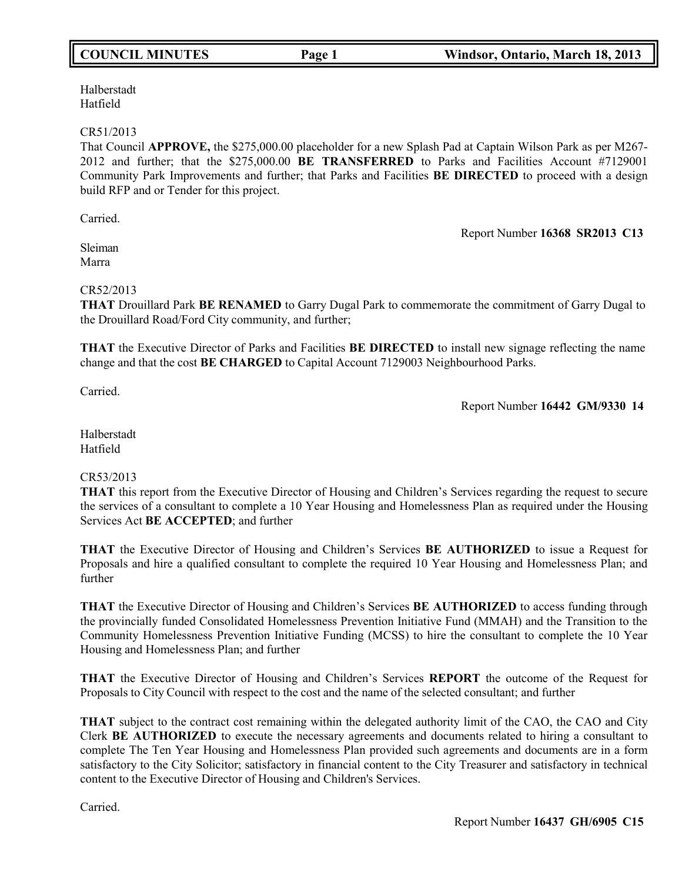Halberstadt Hatfield

### CR51/2013

That Council **APPROVE,** the \$275,000.00 placeholder for a new Splash Pad at Captain Wilson Park as per M267- 2012 and further; that the \$275,000.00 **BE TRANSFERRED** to Parks and Facilities Account #7129001 Community Park Improvements and further; that Parks and Facilities **BE DIRECTED** to proceed with a design build RFP and or Tender for this project.

Carried.

Report Number **16368 SR2013 C13**

Sleiman Marra

## CR52/2013

**THAT** Drouillard Park **BE RENAMED** to Garry Dugal Park to commemorate the commitment of Garry Dugal to the Drouillard Road/Ford City community, and further;

**THAT** the Executive Director of Parks and Facilities **BE DIRECTED** to install new signage reflecting the name change and that the cost **BE CHARGED** to Capital Account 7129003 Neighbourhood Parks.

Carried.

Report Number **16442 GM/9330 14**

Halberstadt Hatfield

## CR53/2013

**THAT** this report from the Executive Director of Housing and Children's Services regarding the request to secure the services of a consultant to complete a 10 Year Housing and Homelessness Plan as required under the Housing Services Act **BE ACCEPTED**; and further

**THAT** the Executive Director of Housing and Children's Services **BE AUTHORIZED** to issue a Request for Proposals and hire a qualified consultant to complete the required 10 Year Housing and Homelessness Plan; and further

**THAT** the Executive Director of Housing and Children's Services **BE AUTHORIZED** to access funding through the provincially funded Consolidated Homelessness Prevention Initiative Fund (MMAH) and the Transition to the Community Homelessness Prevention Initiative Funding (MCSS) to hire the consultant to complete the 10 Year Housing and Homelessness Plan; and further

**THAT** the Executive Director of Housing and Children's Services **REPORT** the outcome of the Request for Proposals to City Council with respect to the cost and the name of the selected consultant; and further

**THAT** subject to the contract cost remaining within the delegated authority limit of the CAO, the CAO and City Clerk **BE AUTHORIZED** to execute the necessary agreements and documents related to hiring a consultant to complete The Ten Year Housing and Homelessness Plan provided such agreements and documents are in a form satisfactory to the City Solicitor; satisfactory in financial content to the City Treasurer and satisfactory in technical content to the Executive Director of Housing and Children's Services.

Carried.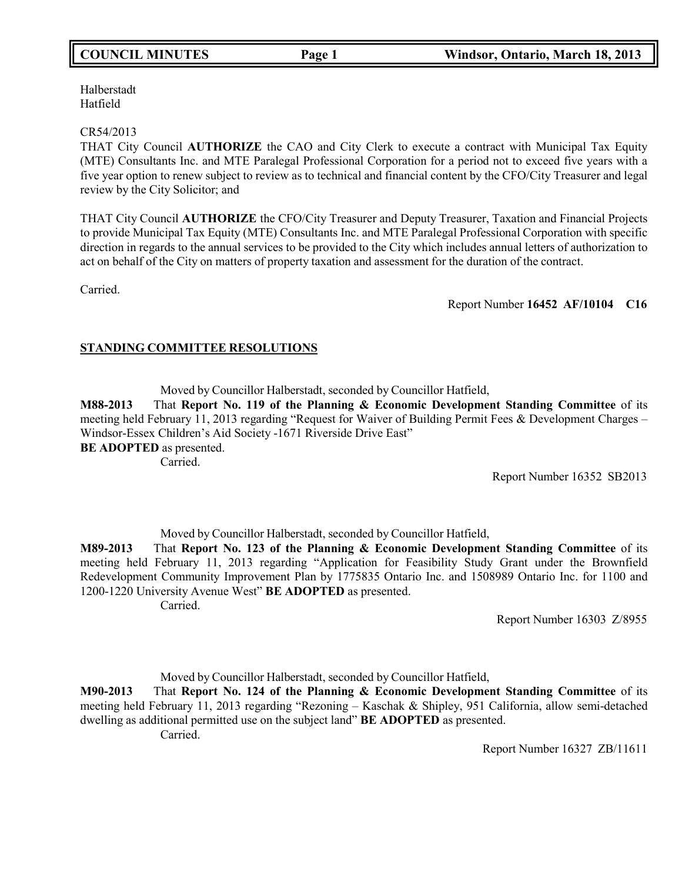Halberstadt Hatfield

#### CR54/2013

THAT City Council **AUTHORIZE** the CAO and City Clerk to execute a contract with Municipal Tax Equity (MTE) Consultants Inc. and MTE Paralegal Professional Corporation for a period not to exceed five years with a five year option to renew subject to review as to technical and financial content by the CFO/City Treasurer and legal review by the City Solicitor; and

THAT City Council **AUTHORIZE** the CFO/City Treasurer and Deputy Treasurer, Taxation and Financial Projects to provide Municipal Tax Equity (MTE) Consultants Inc. and MTE Paralegal Professional Corporation with specific direction in regards to the annual services to be provided to the City which includes annual letters of authorization to act on behalf of the City on matters of property taxation and assessment for the duration of the contract.

Carried.

Report Number **16452 AF/10104 C16**

## **STANDING COMMITTEE RESOLUTIONS**

Moved by Councillor Halberstadt, seconded by Councillor Hatfield,

**M88-2013** That **Report No. 119 of the Planning & Economic Development Standing Committee** of its meeting held February 11, 2013 regarding "Request for Waiver of Building Permit Fees & Development Charges – Windsor-Essex Children's Aid Society -1671 Riverside Drive East" **BE ADOPTED** as presented.

Carried.

Report Number 16352 SB2013

Moved by Councillor Halberstadt, seconded by Councillor Hatfield, **M89-2013** That **Report No. 123 of the Planning & Economic Development Standing Committee** of its meeting held February 11, 2013 regarding "Application for Feasibility Study Grant under the Brownfield Redevelopment Community Improvement Plan by 1775835 Ontario Inc. and 1508989 Ontario Inc. for 1100 and 1200-1220 University Avenue West" **BE ADOPTED** as presented. Carried.

Report Number 16303 Z/8955

Moved by Councillor Halberstadt, seconded by Councillor Hatfield,

**M90-2013** That **Report No. 124 of the Planning & Economic Development Standing Committee** of its meeting held February 11, 2013 regarding "Rezoning – Kaschak & Shipley, 951 California, allow semi-detached dwelling as additional permitted use on the subject land" **BE ADOPTED** as presented.

Carried.

Report Number 16327 ZB/11611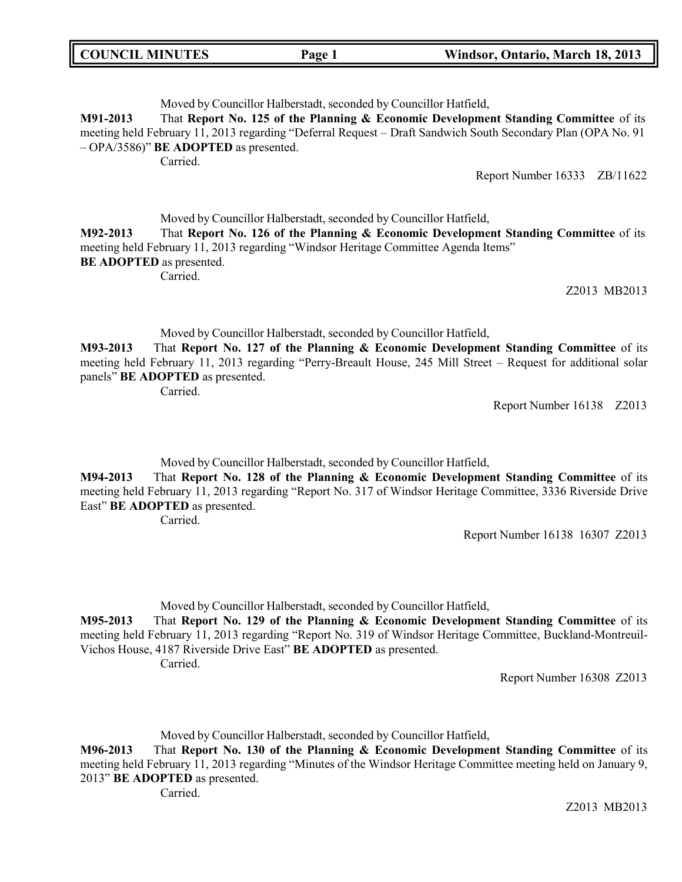| <b>COUNCIL MINUTES</b> | Page 1 | Windsor, Ontario, March 18, 2013 |
|------------------------|--------|----------------------------------|
|                        |        |                                  |

Moved by Councillor Halberstadt, seconded by Councillor Hatfield,

**M91-2013** That **Report No. 125 of the Planning & Economic Development Standing Committee** of its meeting held February 11, 2013 regarding "Deferral Request – Draft Sandwich South Secondary Plan (OPA No. 91 – OPA/3586)" **BE ADOPTED** as presented.

Carried.

Report Number 16333 ZB/11622

Moved by Councillor Halberstadt, seconded by Councillor Hatfield,

**M92-2013** That **Report No. 126 of the Planning & Economic Development Standing Committee** of its meeting held February 11, 2013 regarding "Windsor Heritage Committee Agenda Items" **BE ADOPTED** as presented.

Carried.

Z2013 MB2013

Moved by Councillor Halberstadt, seconded by Councillor Hatfield,

**M93-2013** That **Report No. 127 of the Planning & Economic Development Standing Committee** of its meeting held February 11, 2013 regarding "Perry-Breault House, 245 Mill Street – Request for additional solar panels" **BE ADOPTED** as presented.

Carried.

Report Number 16138 Z2013

Moved by Councillor Halberstadt, seconded by Councillor Hatfield,

**M94-2013** That **Report No. 128 of the Planning & Economic Development Standing Committee** of its meeting held February 11, 2013 regarding "Report No. 317 of Windsor Heritage Committee, 3336 Riverside Drive East" **BE ADOPTED** as presented.

Carried.

Report Number 16138 16307 Z2013

Moved by Councillor Halberstadt, seconded by Councillor Hatfield,

**M95-2013** That **Report No. 129 of the Planning & Economic Development Standing Committee** of its meeting held February 11, 2013 regarding "Report No. 319 of Windsor Heritage Committee, Buckland-Montreuil-Vichos House, 4187 Riverside Drive East" **BE ADOPTED** as presented.

Carried.

Report Number 16308 Z2013

Moved by Councillor Halberstadt, seconded by Councillor Hatfield,

**M96-2013** That **Report No. 130 of the Planning & Economic Development Standing Committee** of its meeting held February 11, 2013 regarding "Minutes of the Windsor Heritage Committee meeting held on January 9, 2013" **BE ADOPTED** as presented.

Carried.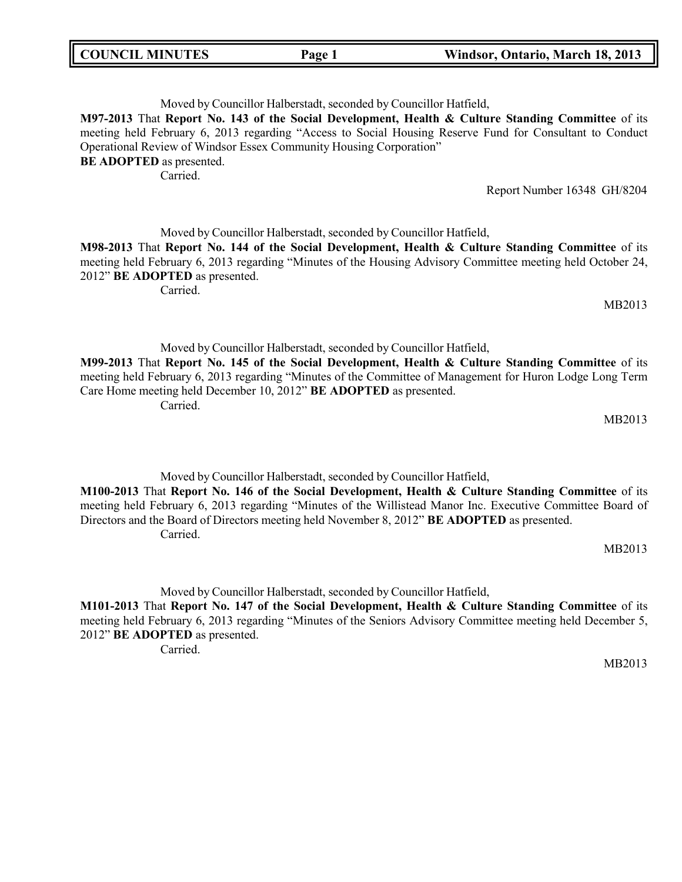| <b>COUNCIL MINUTES</b><br>Windsor, Ontario, March 18, 2013<br>Page 1 |  |
|----------------------------------------------------------------------|--|
|----------------------------------------------------------------------|--|

| Moved by Councillor Halberstadt, seconded by Councillor Hatfield,                                        |                             |
|----------------------------------------------------------------------------------------------------------|-----------------------------|
| M97-2013 That Report No. 143 of the Social Development, Health & Culture Standing Committee of its       |                             |
| meeting held February 6, 2013 regarding "Access to Social Housing Reserve Fund for Consultant to Conduct |                             |
| Operational Review of Windsor Essex Community Housing Corporation"                                       |                             |
| <b>BE ADOPTED</b> as presented.                                                                          |                             |
| Carried.                                                                                                 |                             |
|                                                                                                          | Report Number 16348 GH/8204 |
|                                                                                                          |                             |

Moved by Councillor Halberstadt, seconded by Councillor Hatfield, **M98-2013** That **Report No. 144 of the Social Development, Health & Culture Standing Committee** of its meeting held February 6, 2013 regarding "Minutes of the Housing Advisory Committee meeting held October 24, 2012" **BE ADOPTED** as presented.

Carried.

MB2013

Moved by Councillor Halberstadt, seconded by Councillor Hatfield,

**M99-2013** That **Report No. 145 of the Social Development, Health & Culture Standing Committee** of its meeting held February 6, 2013 regarding "Minutes of the Committee of Management for Huron Lodge Long Term Care Home meeting held December 10, 2012" **BE ADOPTED** as presented. Carried.

MB2013

Moved by Councillor Halberstadt, seconded by Councillor Hatfield, **M100-2013** That **Report No. 146 of the Social Development, Health & Culture Standing Committee** of its meeting held February 6, 2013 regarding "Minutes of the Willistead Manor Inc. Executive Committee Board of Directors and the Board of Directors meeting held November 8, 2012" **BE ADOPTED** as presented. Carried.

MB2013

Moved by Councillor Halberstadt, seconded by Councillor Hatfield,

**M101-2013** That **Report No. 147 of the Social Development, Health & Culture Standing Committee** of its meeting held February 6, 2013 regarding "Minutes of the Seniors Advisory Committee meeting held December 5, 2012" **BE ADOPTED** as presented.

Carried.

MB2013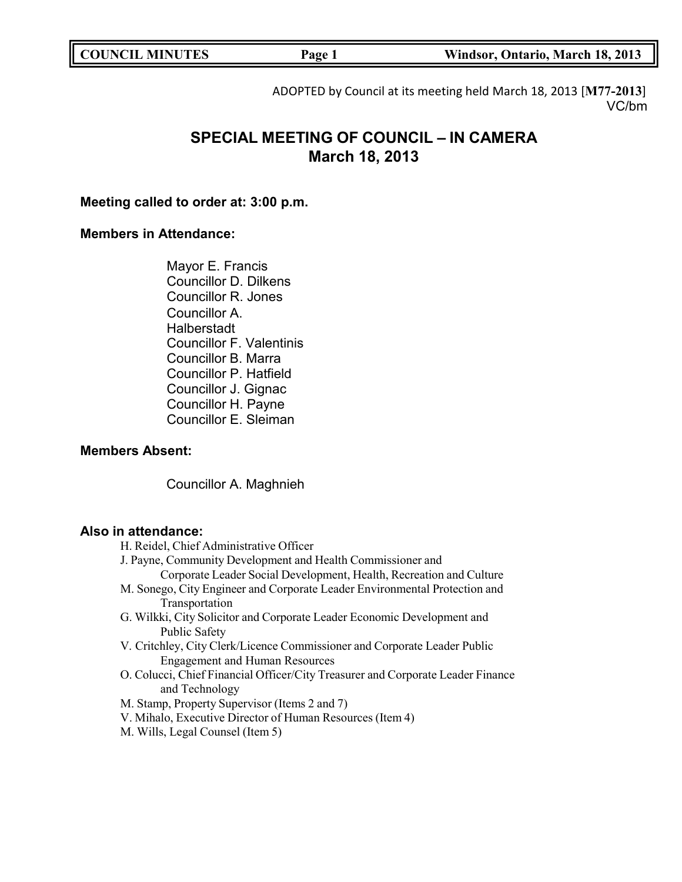| <b>COUNCIL MINUTES</b><br>Page 1 | Windsor, Ontario, March 18, 2013 |
|----------------------------------|----------------------------------|
|----------------------------------|----------------------------------|

ADOPTED by Council at its meeting held March 18, 2013 [**M77-2013**] VC/bm

# **SPECIAL MEETING OF COUNCIL – IN CAMERA March 18, 2013**

**Meeting called to order at: 3:00 p.m.**

## **Members in Attendance:**

Mayor E. Francis Councillor D. Dilkens Councillor R. Jones Councillor A. Halberstadt Councillor F. Valentinis Councillor B. Marra Councillor P. Hatfield Councillor J. Gignac Councillor H. Payne Councillor E. Sleiman

## **Members Absent:**

Councillor A. Maghnieh

## **Also in attendance:**

- H. Reidel, Chief Administrative Officer
- J. Payne, Community Development and Health Commissioner and
	- Corporate Leader Social Development, Health, Recreation and Culture
- M. Sonego, City Engineer and Corporate Leader Environmental Protection and Transportation
- G. Wilkki, City Solicitor and Corporate Leader Economic Development and Public Safety
- V. Critchley, City Clerk/Licence Commissioner and Corporate Leader Public Engagement and Human Resources
- O. Colucci, Chief Financial Officer/City Treasurer and Corporate Leader Finance and Technology
- M. Stamp, Property Supervisor (Items 2 and 7)
- V. Mihalo, Executive Director of Human Resources (Item 4)
- M. Wills, Legal Counsel (Item 5)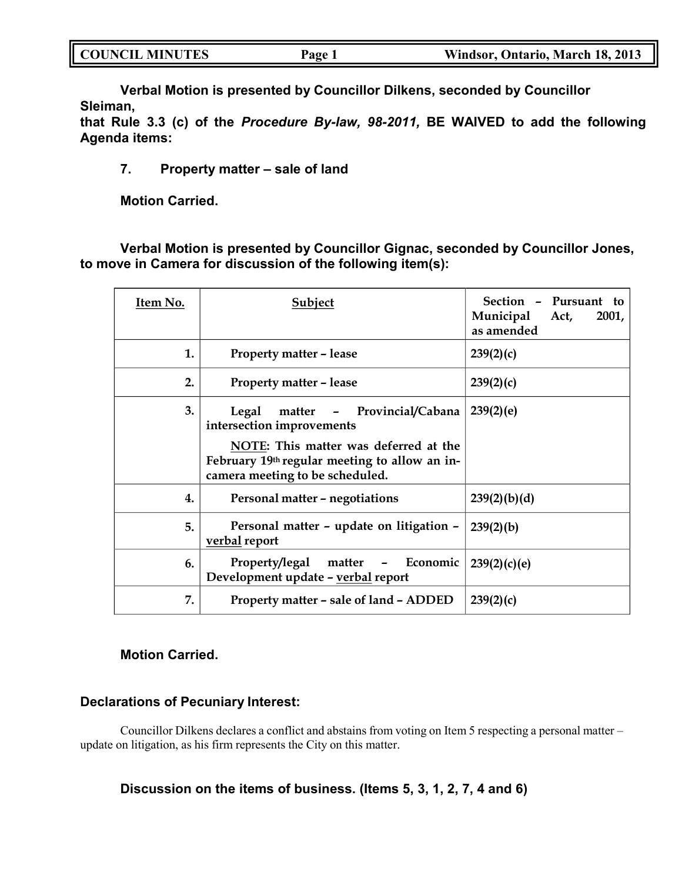| <b>COUNCIL MINUTES</b> | Page 1 | Windsor, Ontario, March 18, 2013 |
|------------------------|--------|----------------------------------|
|                        |        |                                  |

**Verbal Motion is presented by Councillor Dilkens, seconded by Councillor Sleiman,**

**that Rule 3.3 (c) of the** *Procedure By-law, 98-2011,* **BE WAIVED to add the following Agenda items:**

## **7. Property matter – sale of land**

**Motion Carried.**

**Verbal Motion is presented by Councillor Gignac, seconded by Councillor Jones, to move in Camera for discussion of the following item(s):**

| Item No. | Subject                                                                                                                                                                                       | Section - Pursuant<br>to:<br>Municipal<br>2001,<br>Act,<br>as amended |
|----------|-----------------------------------------------------------------------------------------------------------------------------------------------------------------------------------------------|-----------------------------------------------------------------------|
| 1.       | <b>Property matter - lease</b>                                                                                                                                                                | 239(2)(c)                                                             |
| 2.       | <b>Property matter - lease</b>                                                                                                                                                                | 239(2)(c)                                                             |
| 3.       | matter - Provincial/Cabana<br>Legal<br>intersection improvements<br>NOTE: This matter was deferred at the<br>February 19th regular meeting to allow an in-<br>camera meeting to be scheduled. | 239(2)(e)                                                             |
| 4.       | Personal matter - negotiations                                                                                                                                                                | 239(2)(b)(d)                                                          |
| 5.       | Personal matter - update on litigation -<br>verbal report                                                                                                                                     | 239(2)(b)                                                             |
| 6.       | matter – Economic<br>Property/legal<br>Development update - verbal report                                                                                                                     | 239(2)(c)(e)                                                          |
| 7.       | Property matter - sale of land - ADDED                                                                                                                                                        | 239(2)(c)                                                             |

## **Motion Carried.**

## **Declarations of Pecuniary Interest:**

Councillor Dilkens declares a conflict and abstains from voting on Item 5 respecting a personal matter – update on litigation, as his firm represents the City on this matter.

## **Discussion on the items of business. (Items 5, 3, 1, 2, 7, 4 and 6)**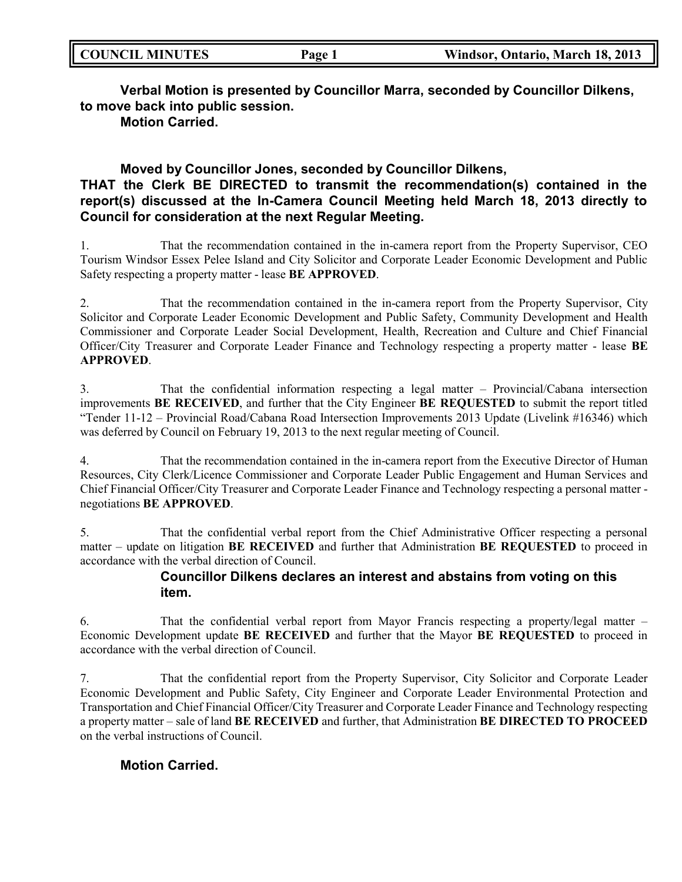| <b>COUNCIL MINUTES</b> | $Page_1$ | Windsor, Ontario, March 18, 2013 |
|------------------------|----------|----------------------------------|
|                        |          |                                  |

**Verbal Motion is presented by Councillor Marra, seconded by Councillor Dilkens, to move back into public session.**

**Motion Carried.**

## **Moved by Councillor Jones, seconded by Councillor Dilkens,**

## **THAT the Clerk BE DIRECTED to transmit the recommendation(s) contained in the report(s) discussed at the In-Camera Council Meeting held March 18, 2013 directly to Council for consideration at the next Regular Meeting.**

1. That the recommendation contained in the in-camera report from the Property Supervisor, CEO Tourism Windsor Essex Pelee Island and City Solicitor and Corporate Leader Economic Development and Public Safety respecting a property matter - lease **BE APPROVED**.

2. That the recommendation contained in the in-camera report from the Property Supervisor, City Solicitor and Corporate Leader Economic Development and Public Safety, Community Development and Health Commissioner and Corporate Leader Social Development, Health, Recreation and Culture and Chief Financial Officer/City Treasurer and Corporate Leader Finance and Technology respecting a property matter - lease **BE APPROVED**.

3. That the confidential information respecting a legal matter – Provincial/Cabana intersection improvements **BE RECEIVED**, and further that the City Engineer **BE REQUESTED** to submit the report titled "Tender 11-12 – Provincial Road/Cabana Road Intersection Improvements 2013 Update (Livelink #16346) which was deferred by Council on February 19, 2013 to the next regular meeting of Council.

4. That the recommendation contained in the in-camera report from the Executive Director of Human Resources, City Clerk/Licence Commissioner and Corporate Leader Public Engagement and Human Services and Chief Financial Officer/City Treasurer and Corporate Leader Finance and Technology respecting a personal matter negotiations **BE APPROVED**.

5. That the confidential verbal report from the Chief Administrative Officer respecting a personal matter – update on litigation **BE RECEIVED** and further that Administration **BE REQUESTED** to proceed in accordance with the verbal direction of Council.

## **Councillor Dilkens declares an interest and abstains from voting on this item.**

6. That the confidential verbal report from Mayor Francis respecting a property/legal matter – Economic Development update **BE RECEIVED** and further that the Mayor **BE REQUESTED** to proceed in accordance with the verbal direction of Council.

7. That the confidential report from the Property Supervisor, City Solicitor and Corporate Leader Economic Development and Public Safety, City Engineer and Corporate Leader Environmental Protection and Transportation and Chief Financial Officer/City Treasurer and Corporate Leader Finance and Technology respecting a property matter – sale of land **BE RECEIVED** and further, that Administration **BE DIRECTED TO PROCEED** on the verbal instructions of Council.

## **Motion Carried.**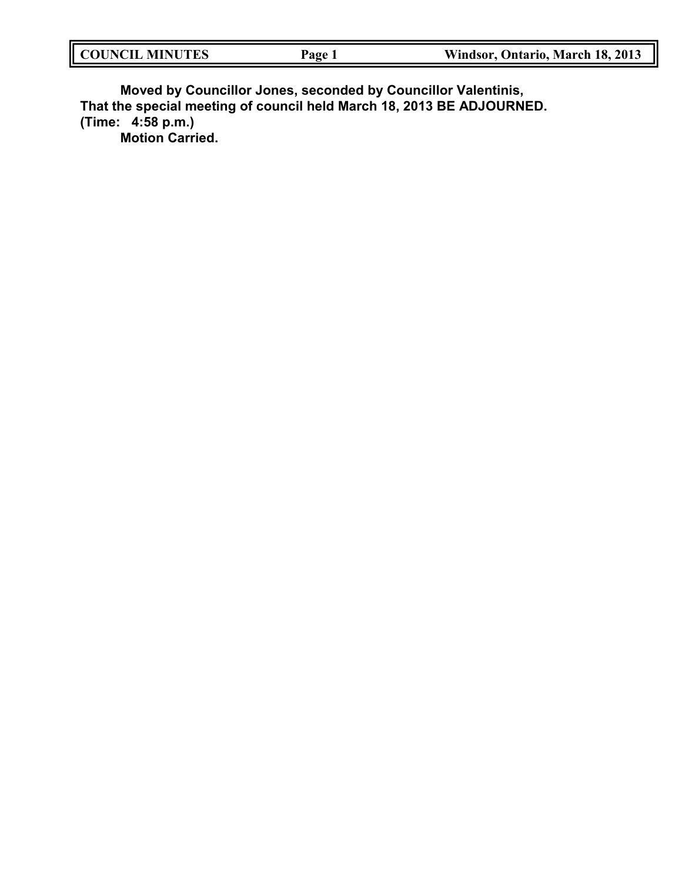| <b>COUNCIL MINUTES</b> | Page | Windsor, Ontario, March 18, 2013 |
|------------------------|------|----------------------------------|
|                        |      |                                  |

**Moved by Councillor Jones, seconded by Councillor Valentinis, That the special meeting of council held March 18, 2013 BE ADJOURNED. (Time: 4:58 p.m.)**

**Motion Carried.**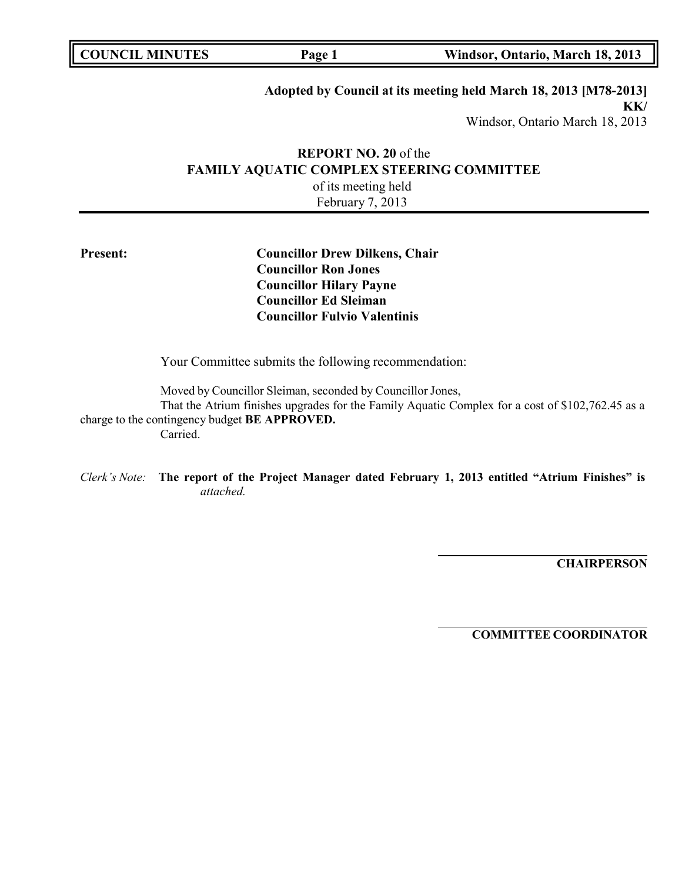| <b>COUNCIL MINUTES</b> | Page 1 | Windsor, Ontario, March 18, 2013 |
|------------------------|--------|----------------------------------|
|                        |        |                                  |

### **Adopted by Council at its meeting held March 18, 2013 [M78-2013] KK/**

Windsor, Ontario March 18, 2013

## **REPORT NO. 20** of the **FAMILY AQUATIC COMPLEX STEERING COMMITTEE** of its meeting held February 7, 2013

## **Present: Councillor Drew Dilkens, Chair Councillor Ron Jones Councillor Hilary Payne Councillor Ed Sleiman Councillor Fulvio Valentinis**

Your Committee submits the following recommendation:

Moved by Councillor Sleiman, seconded by Councillor Jones,

That the Atrium finishes upgrades for the Family Aquatic Complex for a cost of \$102,762.45 as a charge to the contingency budget **BE APPROVED.** Carried.

*Clerk's Note:* **The report of the Project Manager dated February 1, 2013 entitled "Atrium Finishes" is** *attached.*

**CHAIRPERSON**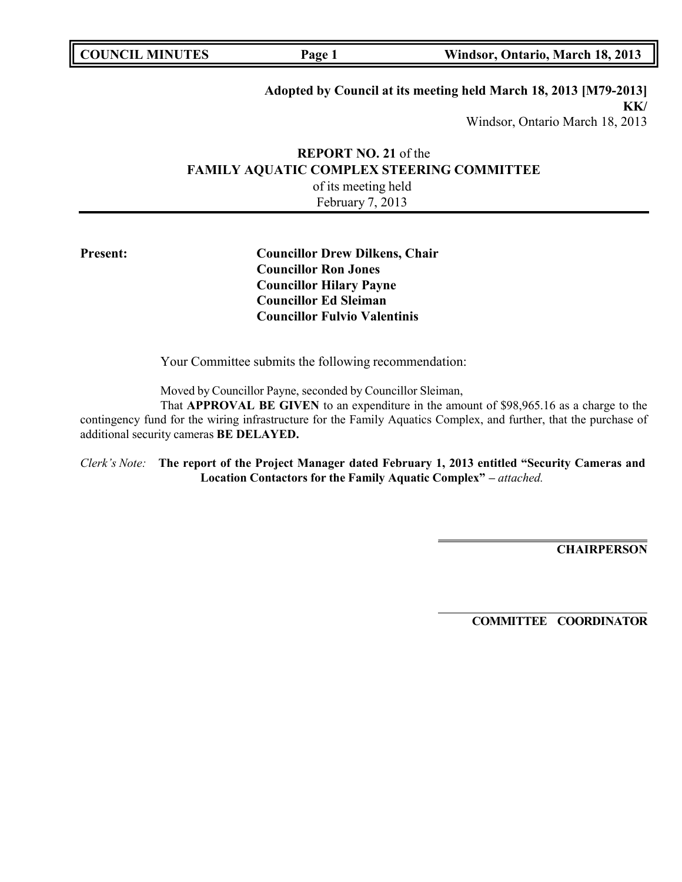| <b>COUNCIL MINUTES</b><br>Windsor, Ontario, March 18, 2013<br>Page 1 |  |
|----------------------------------------------------------------------|--|
|----------------------------------------------------------------------|--|

## **Adopted by Council at its meeting held March 18, 2013 [M79-2013] KK/**

Windsor, Ontario March 18, 2013

## **REPORT NO. 21** of the **FAMILY AQUATIC COMPLEX STEERING COMMITTEE** of its meeting held February 7, 2013

**Present: Councillor Drew Dilkens, Chair Councillor Ron Jones Councillor Hilary Payne Councillor Ed Sleiman Councillor Fulvio Valentinis**

Your Committee submits the following recommendation:

Moved by Councillor Payne, seconded by Councillor Sleiman,

That **APPROVAL BE GIVEN** to an expenditure in the amount of \$98,965.16 as a charge to the contingency fund for the wiring infrastructure for the Family Aquatics Complex, and further, that the purchase of additional security cameras **BE DELAYED.**

*Clerk's Note:* **The report of the Project Manager dated February 1, 2013 entitled "Security Cameras and Location Contactors for the Family Aquatic Complex" –** *attached.*

**CHAIRPERSON**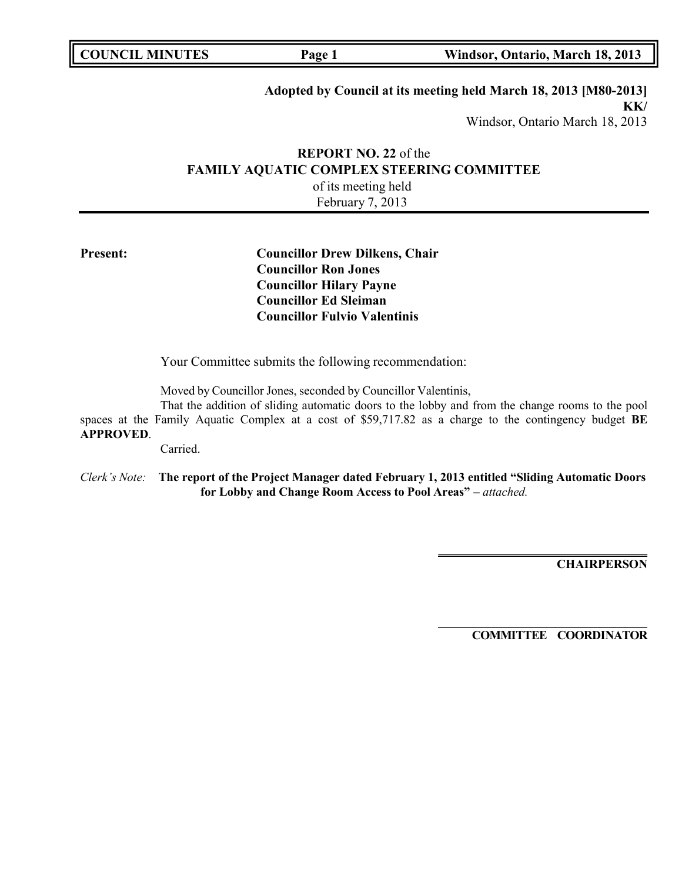| <b>COUNCIL MINUTES</b><br>Windsor, Ontario, March 18, 2013<br>Page 1 |  |
|----------------------------------------------------------------------|--|
|----------------------------------------------------------------------|--|

# **Adopted by Council at its meeting held March 18, 2013 [M80-2013]**

**KK/** Windsor, Ontario March 18, 2013

## **REPORT NO. 22** of the **FAMILY AQUATIC COMPLEX STEERING COMMITTEE** of its meeting held February 7, 2013

## **Present: Councillor Drew Dilkens, Chair Councillor Ron Jones Councillor Hilary Payne Councillor Ed Sleiman Councillor Fulvio Valentinis**

Your Committee submits the following recommendation:

Moved by Councillor Jones, seconded by Councillor Valentinis,

That the addition of sliding automatic doors to the lobby and from the change rooms to the pool spaces at the Family Aquatic Complex at a cost of \$59,717.82 as a charge to the contingency budget **BE APPROVED**.

Carried.

*Clerk's Note:* **The report of the Project Manager dated February 1, 2013 entitled "Sliding Automatic Doors for Lobby and Change Room Access to Pool Areas" –** *attached.*

**CHAIRPERSON**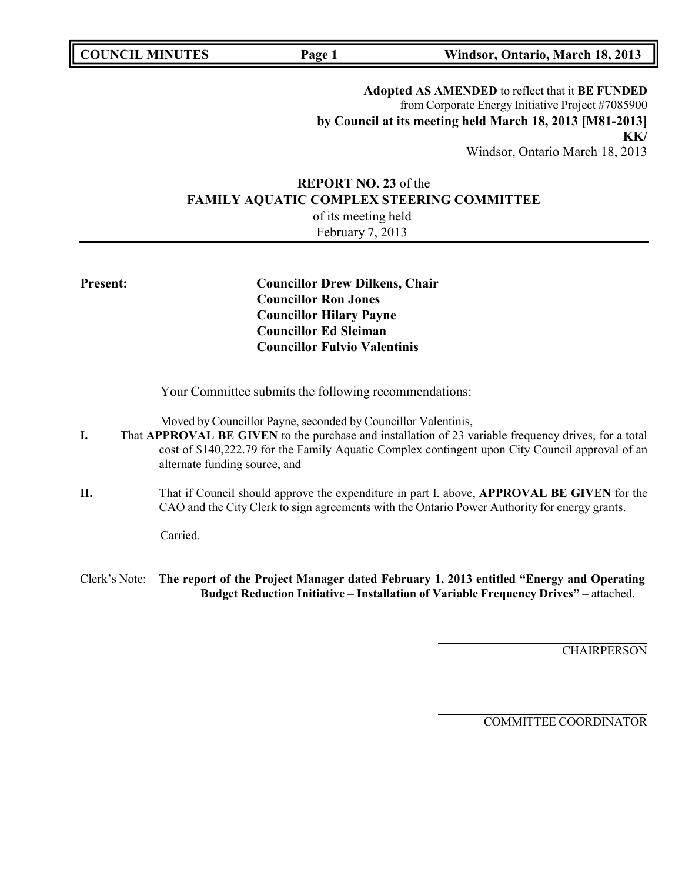**Adopted AS AMENDED** to reflect that it **BE FUNDED** from Corporate Energy Initiative Project #7085900 **by Council at its meeting held March 18, 2013 [M81-2013] KK/** Windsor, Ontario March 18, 2013

## **REPORT NO. 23** of the **FAMILY AQUATIC COMPLEX STEERING COMMITTEE** of its meeting held

February 7, 2013

**Present: Councillor Drew Dilkens, Chair Councillor Ron Jones Councillor Hilary Payne Councillor Ed Sleiman Councillor Fulvio Valentinis**

Your Committee submits the following recommendations:

Moved by Councillor Payne, seconded by Councillor Valentinis,

- **I.** That **APPROVAL BE GIVEN** to the purchase and installation of 23 variable frequency drives, for a total cost of \$140,222.79 for the Family Aquatic Complex contingent upon City Council approval of an alternate funding source, and
- **II.** That if Council should approve the expenditure in part I. above, **APPROVAL BE GIVEN** for the CAO and the City Clerk to sign agreements with the Ontario Power Authority for energy grants.

Carried.

Clerk's Note: **The report of the Project Manager dated February 1, 2013 entitled "Energy and Operating Budget Reduction Initiative – Installation of Variable Frequency Drives" –** attached.

**CHAIRPERSON**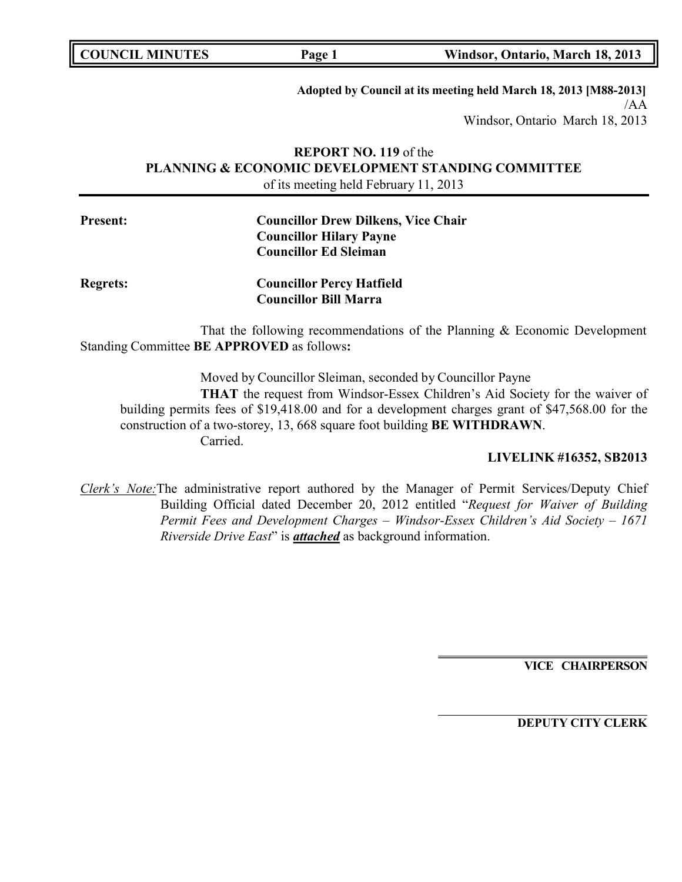| <b>COUNCIL MINUTES</b> |  |
|------------------------|--|
|------------------------|--|

**Adopted by Council at its meeting held March 18, 2013 [M88-2013]** /AA Windsor, Ontario March 18, 2013

## **REPORT NO. 119** of the **PLANNING & ECONOMIC DEVELOPMENT STANDING COMMITTEE** of its meeting held February 11, 2013

| <b>Present:</b> | <b>Councillor Drew Dilkens, Vice Chair</b> |
|-----------------|--------------------------------------------|
|                 | <b>Councillor Hilary Payne</b>             |
|                 | <b>Councillor Ed Sleiman</b>               |
|                 |                                            |

**Regrets: Councillor Percy Hatfield Councillor Bill Marra**

That the following recommendations of the Planning & Economic Development Standing Committee **BE APPROVED** as follows**:**

Moved by Councillor Sleiman, seconded by Councillor Payne **THAT** the request from Windsor-Essex Children's Aid Society for the waiver of building permits fees of \$19,418.00 and for a development charges grant of \$47,568.00 for the construction of a two-storey, 13, 668 square foot building **BE WITHDRAWN**. Carried.

## **LIVELINK #16352, SB2013**

*Clerk's Note:*The administrative report authored by the Manager of Permit Services/Deputy Chief Building Official dated December 20, 2012 entitled "*Request for Waiver of Building Permit Fees and Development Charges – Windsor-Essex Children's Aid Society – 1671 Riverside Drive East*" is *attached* as background information.

**VICE CHAIRPERSON**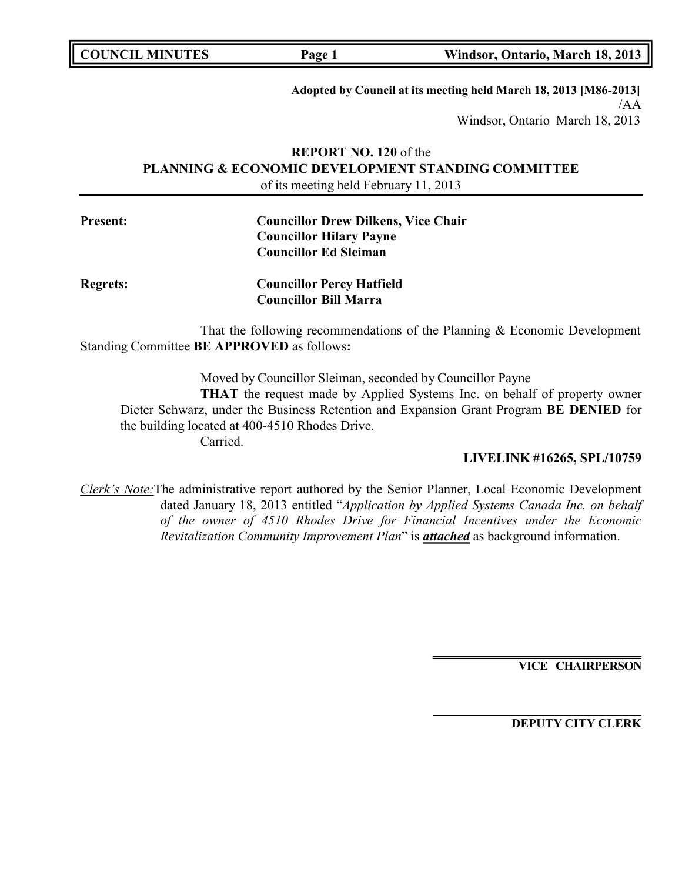**Adopted by Council at its meeting held March 18, 2013 [M86-2013]** /AA Windsor, Ontario March 18, 2013

## **REPORT NO. 120** of the **PLANNING & ECONOMIC DEVELOPMENT STANDING COMMITTEE** of its meeting held February 11, 2013

| <b>Present:</b> | <b>Councillor Drew Dilkens, Vice Chair</b> |
|-----------------|--------------------------------------------|
|                 | <b>Councillor Hilary Payne</b>             |
|                 | <b>Councillor Ed Sleiman</b>               |
|                 |                                            |

**Regrets: Councillor Percy Hatfield Councillor Bill Marra**

That the following recommendations of the Planning & Economic Development Standing Committee **BE APPROVED** as follows**:**

Moved by Councillor Sleiman, seconded by Councillor Payne

**THAT** the request made by Applied Systems Inc. on behalf of property owner Dieter Schwarz, under the Business Retention and Expansion Grant Program **BE DENIED** for the building located at 400-4510 Rhodes Drive.

Carried.

## **LIVELINK #16265, SPL/10759**

*Clerk's Note:*The administrative report authored by the Senior Planner, Local Economic Development dated January 18, 2013 entitled "*Application by Applied Systems Canada Inc. on behalf of the owner of 4510 Rhodes Drive for Financial Incentives under the Economic Revitalization Community Improvement Plan*" is *attached* as background information.

**VICE CHAIRPERSON**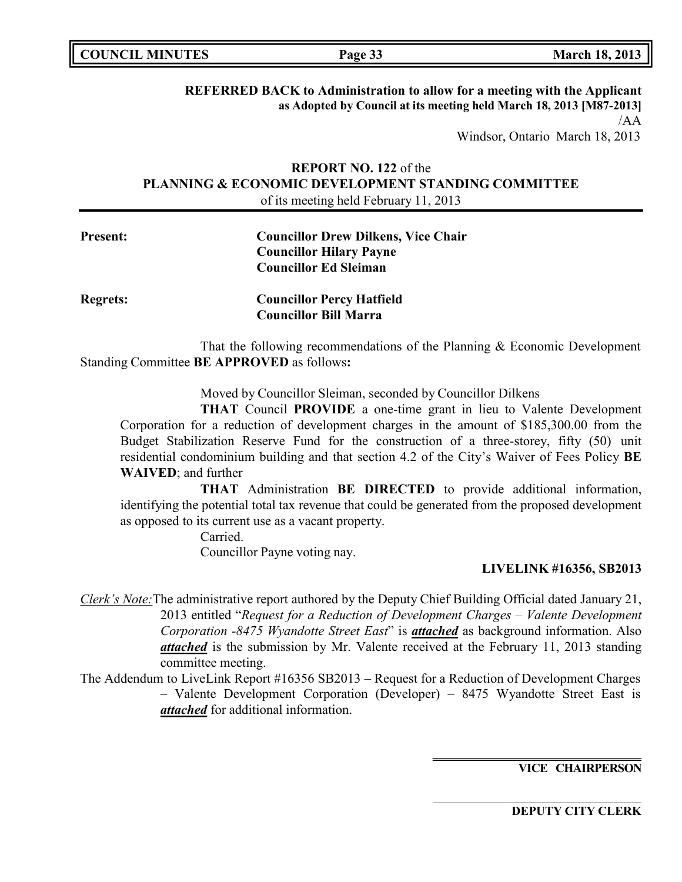| <b>COUNCIL MINUTES</b> | Page 33 | <b>March 18, 2013</b> |
|------------------------|---------|-----------------------|
|------------------------|---------|-----------------------|

**REFERRED BACK to Administration to allow for a meeting with the Applicant as Adopted by Council at its meeting held March 18, 2013 [M87-2013]** /AA

Windsor, Ontario March 18, 2013

## **REPORT NO. 122** of the **PLANNING & ECONOMIC DEVELOPMENT STANDING COMMITTEE** of its meeting held February 11, 2013

# **Present: Councillor Drew Dilkens, Vice Chair Councillor Hilary Payne Councillor Ed Sleiman Regrets: Councillor Percy Hatfield**

That the following recommendations of the Planning & Economic Development Standing Committee **BE APPROVED** as follows**:**

**Councillor Bill Marra**

Moved by Councillor Sleiman, seconded by Councillor Dilkens

**THAT** Council **PROVIDE** a one-time grant in lieu to Valente Development Corporation for a reduction of development charges in the amount of \$185,300.00 from the Budget Stabilization Reserve Fund for the construction of a three-storey, fifty (50) unit residential condominium building and that section 4.2 of the City's Waiver of Fees Policy **BE WAIVED**; and further

**THAT** Administration **BE DIRECTED** to provide additional information, identifying the potential total tax revenue that could be generated from the proposed development as opposed to its current use as a vacant property.

> Carried. Councillor Payne voting nay.

## **LIVELINK #16356, SB2013**

- *Clerk's Note:*The administrative report authored by the Deputy Chief Building Official dated January 21, 2013 entitled "*Request for a Reduction of Development Charges – Valente Development Corporation -8475 Wyandotte Street East*" is *attached* as background information. Also *attached* is the submission by Mr. Valente received at the February 11, 2013 standing committee meeting.
- The Addendum to LiveLink Report #16356 SB2013 Request for a Reduction of Development Charges – Valente Development Corporation (Developer) – 8475 Wyandotte Street East is *attached* for additional information.

**VICE CHAIRPERSON**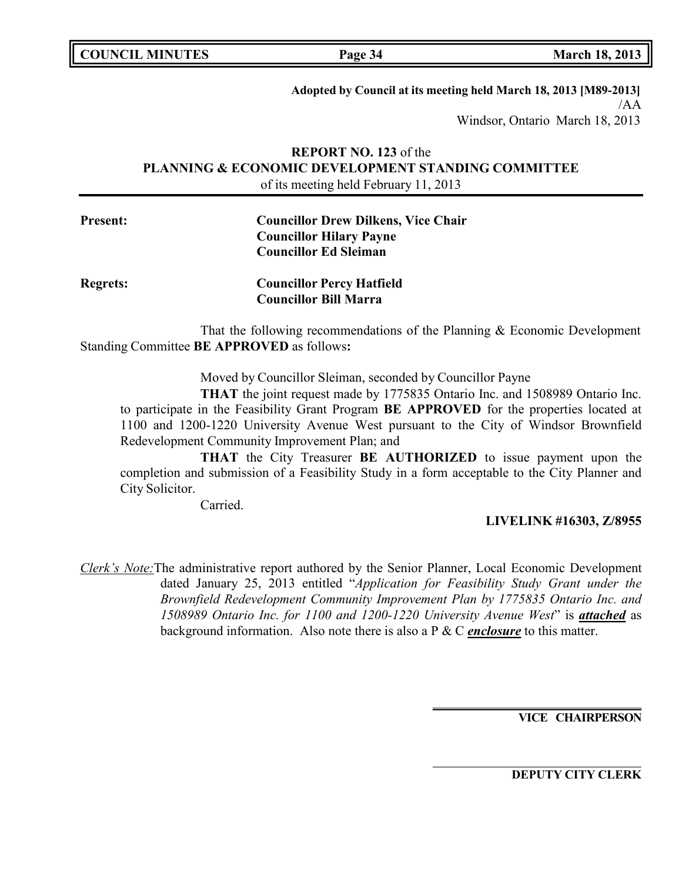**Adopted by Council at its meeting held March 18, 2013 [M89-2013]** /AA Windsor, Ontario March 18, 2013

## **REPORT NO. 123** of the **PLANNING & ECONOMIC DEVELOPMENT STANDING COMMITTEE** of its meeting held February 11, 2013

| <b>Present:</b> | <b>Councillor Drew Dilkens, Vice Chair</b> |
|-----------------|--------------------------------------------|
|                 | <b>Councillor Hilary Payne</b>             |
|                 | <b>Councillor Ed Sleiman</b>               |
|                 |                                            |

| <b>Regrets:</b> | <b>Councillor Percy Hatfield</b> |
|-----------------|----------------------------------|
|                 | <b>Councillor Bill Marra</b>     |

That the following recommendations of the Planning & Economic Development Standing Committee **BE APPROVED** as follows**:**

Moved by Councillor Sleiman, seconded by Councillor Payne

**THAT** the joint request made by 1775835 Ontario Inc. and 1508989 Ontario Inc. to participate in the Feasibility Grant Program **BE APPROVED** for the properties located at 1100 and 1200-1220 University Avenue West pursuant to the City of Windsor Brownfield Redevelopment Community Improvement Plan; and

**THAT** the City Treasurer **BE AUTHORIZED** to issue payment upon the completion and submission of a Feasibility Study in a form acceptable to the City Planner and City Solicitor.

Carried.

## **LIVELINK #16303, Z/8955**

*Clerk's Note:*The administrative report authored by the Senior Planner, Local Economic Development dated January 25, 2013 entitled "*Application for Feasibility Study Grant under the Brownfield Redevelopment Community Improvement Plan by 1775835 Ontario Inc. and 1508989 Ontario Inc. for 1100 and 1200-1220 University Avenue West*" is *attached* as background information. Also note there is also a P & C *enclosure* to this matter.

**VICE CHAIRPERSON**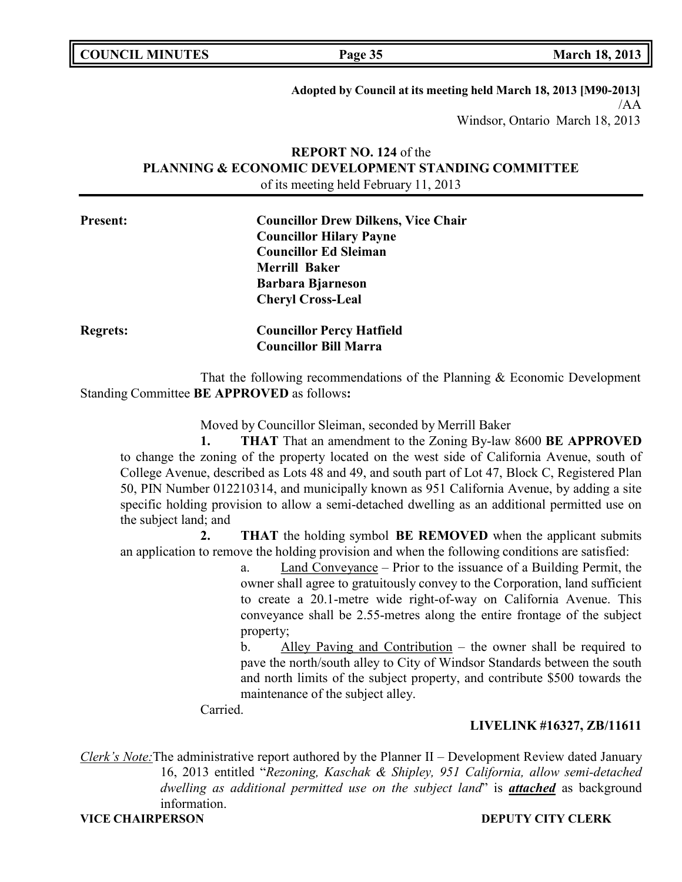| <b>COUNCIL MINUTES</b> |  |
|------------------------|--|
|------------------------|--|

**Adopted by Council at its meeting held March 18, 2013 [M90-2013]** /AA Windsor, Ontario March 18, 2013

## **REPORT NO. 124** of the **PLANNING & ECONOMIC DEVELOPMENT STANDING COMMITTEE** of its meeting held February 11, 2013

| <b>Present:</b> | <b>Councillor Drew Dilkens, Vice Chair</b> |
|-----------------|--------------------------------------------|
|                 | <b>Councillor Hilary Payne</b>             |
|                 | <b>Councillor Ed Sleiman</b>               |
|                 | <b>Merrill Baker</b>                       |
|                 | <b>Barbara Bjarneson</b>                   |
|                 | <b>Cheryl Cross-Leal</b>                   |
| <b>Regrets:</b> | <b>Councillor Percy Hatfield</b>           |
|                 | <b>Councillor Bill Marra</b>               |

That the following recommendations of the Planning & Economic Development Standing Committee **BE APPROVED** as follows**:**

Moved by Councillor Sleiman, seconded by Merrill Baker

**1. THAT** That an amendment to the Zoning By-law 8600 **BE APPROVED** to change the zoning of the property located on the west side of California Avenue, south of College Avenue, described as Lots 48 and 49, and south part of Lot 47, Block C, Registered Plan 50, PIN Number 012210314, and municipally known as 951 California Avenue, by adding a site specific holding provision to allow a semi-detached dwelling as an additional permitted use on the subject land; and

**2. THAT** the holding symbol **BE REMOVED** when the applicant submits an application to remove the holding provision and when the following conditions are satisfied:

> a. Land Conveyance – Prior to the issuance of a Building Permit, the owner shall agree to gratuitously convey to the Corporation, land sufficient to create a 20.1-metre wide right-of-way on California Avenue. This conveyance shall be 2.55-metres along the entire frontage of the subject property;

> b. Alley Paving and Contribution – the owner shall be required to pave the north/south alley to City of Windsor Standards between the south and north limits of the subject property, and contribute \$500 towards the maintenance of the subject alley.

Carried.

## **LIVELINK #16327, ZB/11611**

*Clerk's Note:*The administrative report authored by the Planner II – Development Review dated January 16, 2013 entitled "*Rezoning, Kaschak & Shipley, 951 California, allow semi-detached dwelling as additional permitted use on the subject land*" is *attached* as background information.

#### **VICE CHAIRPERSON DEPUTY CITY CLERK**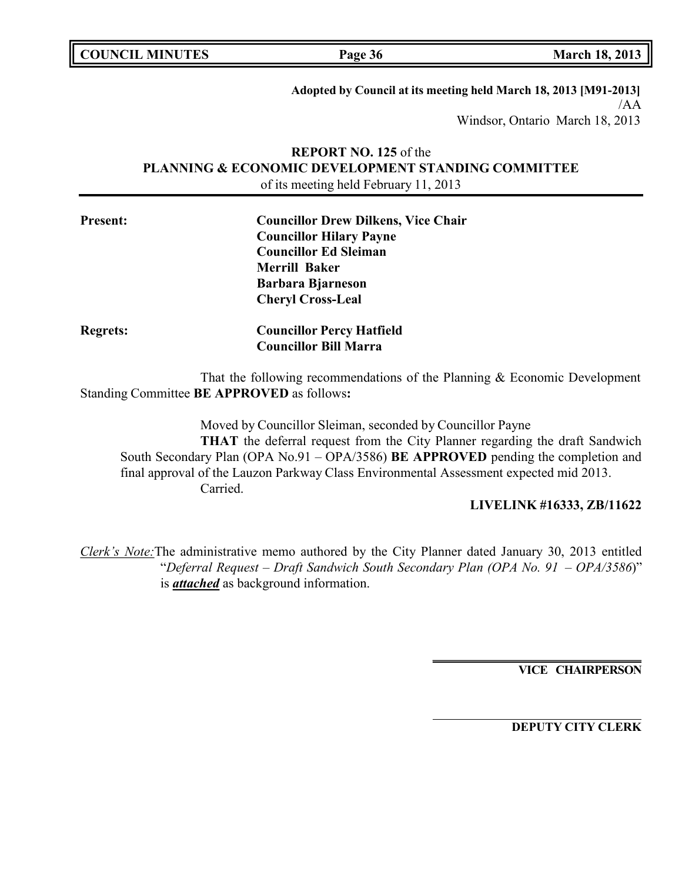| <b>COUNCIL MINUTES</b> |  |
|------------------------|--|
|------------------------|--|

**COUNCIL MINUTES Page 36 March 18, 2013**

**Adopted by Council at its meeting held March 18, 2013 [M91-2013]** /AA Windsor, Ontario March 18, 2013

## **REPORT NO. 125** of the **PLANNING & ECONOMIC DEVELOPMENT STANDING COMMITTEE** of its meeting held February 11, 2013

| <b>Present:</b> | <b>Councillor Drew Dilkens, Vice Chair</b> |  |
|-----------------|--------------------------------------------|--|
|                 | <b>Councillor Hilary Payne</b>             |  |
|                 | <b>Councillor Ed Sleiman</b>               |  |
|                 | <b>Merrill Baker</b>                       |  |
|                 | <b>Barbara Bjarneson</b>                   |  |
|                 | <b>Cheryl Cross-Leal</b>                   |  |
| <b>Regrets:</b> | <b>Councillor Percy Hatfield</b>           |  |
|                 | <b>Councillor Bill Marra</b>               |  |

That the following recommendations of the Planning & Economic Development Standing Committee **BE APPROVED** as follows**:**

Moved by Councillor Sleiman, seconded by Councillor Payne **THAT** the deferral request from the City Planner regarding the draft Sandwich South Secondary Plan (OPA No.91 – OPA/3586) **BE APPROVED** pending the completion and final approval of the Lauzon Parkway Class Environmental Assessment expected mid 2013. Carried.

## **LIVELINK #16333, ZB/11622**

*Clerk's Note:*The administrative memo authored by the City Planner dated January 30, 2013 entitled "*Deferral Request – Draft Sandwich South Secondary Plan (OPA No. 91 – OPA/3586*)" is *attached* as background information.

**VICE CHAIRPERSON**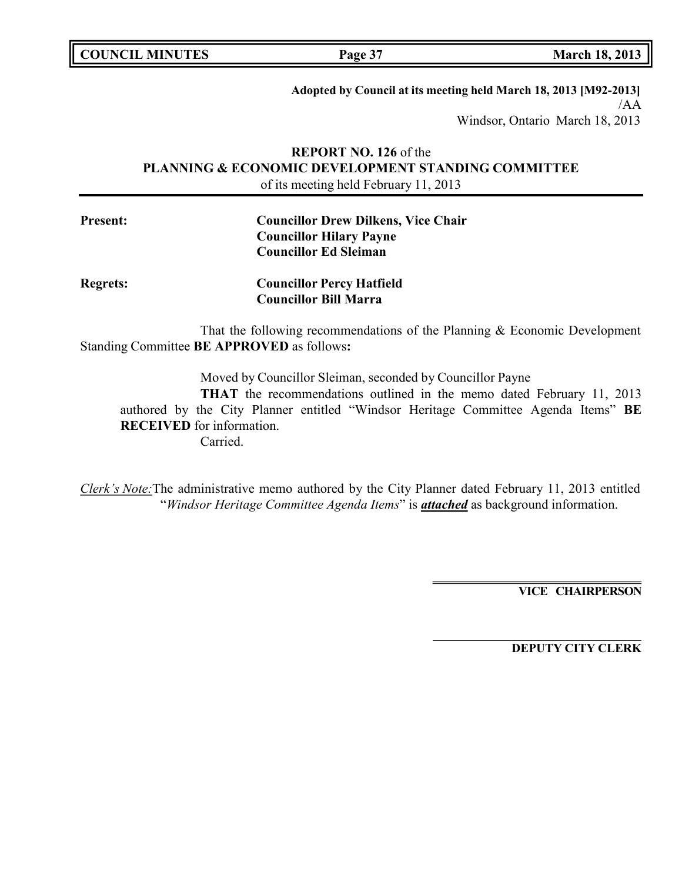| <b>COUNCIL MINUTES</b> |  |
|------------------------|--|
|------------------------|--|

**COUNCIL MINUTES Page 37 March 18, 2013**

**Adopted by Council at its meeting held March 18, 2013 [M92-2013]** /AA Windsor, Ontario March 18, 2013

## **REPORT NO. 126** of the **PLANNING & ECONOMIC DEVELOPMENT STANDING COMMITTEE** of its meeting held February 11, 2013

| <b>Present:</b> | <b>Councillor Drew Dilkens, Vice Chair</b> |
|-----------------|--------------------------------------------|
|                 | <b>Councillor Hilary Payne</b>             |
|                 | <b>Councillor Ed Sleiman</b>               |
| <b>Regrets:</b> | <b>Councillor Percy Hatfield</b>           |
|                 | <b>Councillor Bill Marra</b>               |

That the following recommendations of the Planning & Economic Development Standing Committee **BE APPROVED** as follows**:**

Moved by Councillor Sleiman, seconded by Councillor Payne

**THAT** the recommendations outlined in the memo dated February 11, 2013 authored by the City Planner entitled "Windsor Heritage Committee Agenda Items" **BE RECEIVED** for information. Carried.

*Clerk's Note:*The administrative memo authored by the City Planner dated February 11, 2013 entitled "*Windsor Heritage Committee Agenda Items*" is *attached* as background information.

**VICE CHAIRPERSON**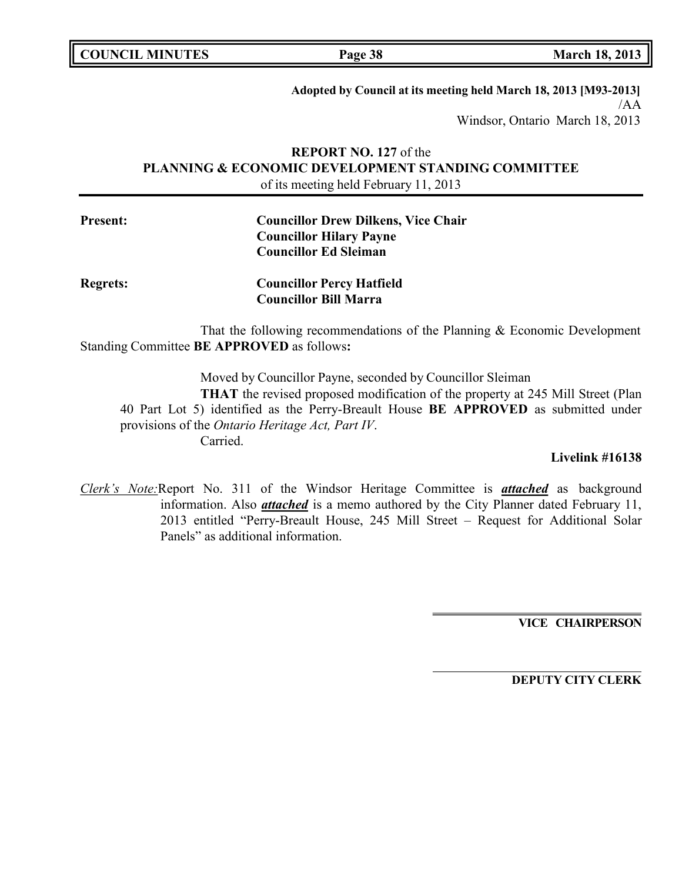|  | <b>COUNCIL MINUTES</b> |
|--|------------------------|
|--|------------------------|

**COUNCIL MINUTES Page 38 March 18, 2013**

**Adopted by Council at its meeting held March 18, 2013 [M93-2013]** /AA Windsor, Ontario March 18, 2013

## **REPORT NO. 127** of the **PLANNING & ECONOMIC DEVELOPMENT STANDING COMMITTEE** of its meeting held February 11, 2013

| <b>Present:</b> | <b>Councillor Drew Dilkens, Vice Chair</b> |  |
|-----------------|--------------------------------------------|--|
|                 | <b>Councillor Hilary Payne</b>             |  |
|                 | <b>Councillor Ed Sleiman</b>               |  |
|                 |                                            |  |

**Regrets: Councillor Percy Hatfield Councillor Bill Marra**

That the following recommendations of the Planning & Economic Development Standing Committee **BE APPROVED** as follows**:**

Moved by Councillor Payne, seconded by Councillor Sleiman **THAT** the revised proposed modification of the property at 245 Mill Street (Plan 40 Part Lot 5) identified as the Perry-Breault House **BE APPROVED** as submitted under provisions of the *Ontario Heritage Act, Part IV*. Carried.

**Livelink #16138**

*Clerk's Note:*Report No. 311 of the Windsor Heritage Committee is *attached* as background information. Also *attached* is a memo authored by the City Planner dated February 11, 2013 entitled "Perry-Breault House, 245 Mill Street – Request for Additional Solar Panels" as additional information.

**VICE CHAIRPERSON**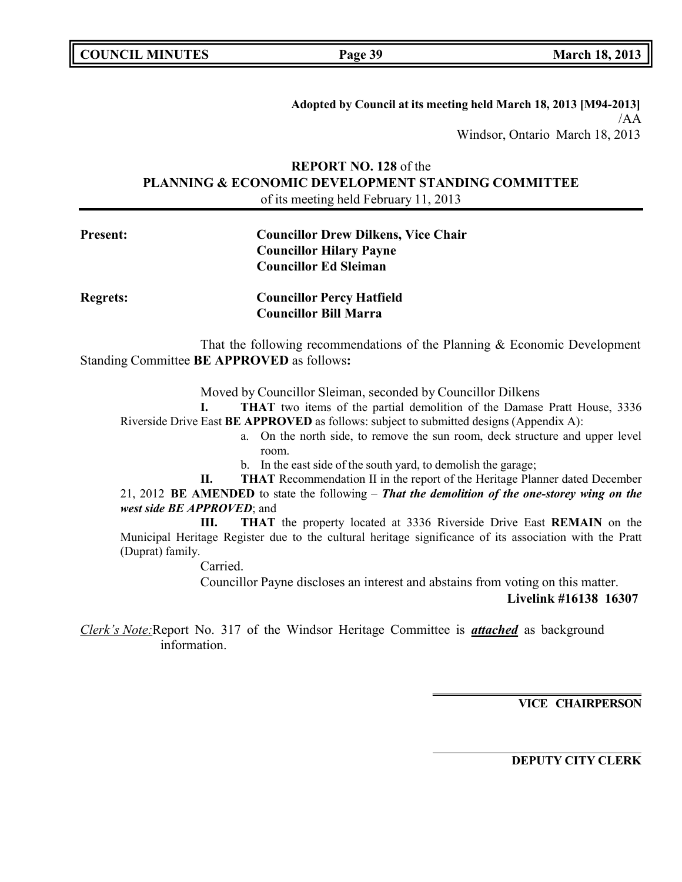| <b>COUNCIL MINUTES</b> |  |  |
|------------------------|--|--|
|------------------------|--|--|

**Adopted by Council at its meeting held March 18, 2013 [M94-2013]** /AA Windsor, Ontario March 18, 2013

## **REPORT NO. 128** of the **PLANNING & ECONOMIC DEVELOPMENT STANDING COMMITTEE** of its meeting held February 11, 2013

## **Present: Councillor Drew Dilkens, Vice Chair Councillor Hilary Payne Councillor Ed Sleiman**

**Regrets: Councillor Percy Hatfield Councillor Bill Marra**

That the following recommendations of the Planning & Economic Development Standing Committee **BE APPROVED** as follows**:**

Moved by Councillor Sleiman, seconded by Councillor Dilkens

**I. THAT** two items of the partial demolition of the Damase Pratt House, 3336 Riverside Drive East **BE APPROVED** as follows: subject to submitted designs (Appendix A):

- a. On the north side, to remove the sun room, deck structure and upper level room.
- b. In the east side of the south yard, to demolish the garage;
- **II. THAT** Recommendation II in the report of the Heritage Planner dated December

21, 2012 **BE AMENDED** to state the following – *That the demolition of the one-storey wing on the west side BE APPROVED*; and

**III. THAT** the property located at 3336 Riverside Drive East **REMAIN** on the Municipal Heritage Register due to the cultural heritage significance of its association with the Pratt (Duprat) family.

Carried.

Councillor Payne discloses an interest and abstains from voting on this matter.

**Livelink #16138 16307**

*Clerk's Note:*Report No. 317 of the Windsor Heritage Committee is *attached* as background information.

**VICE CHAIRPERSON**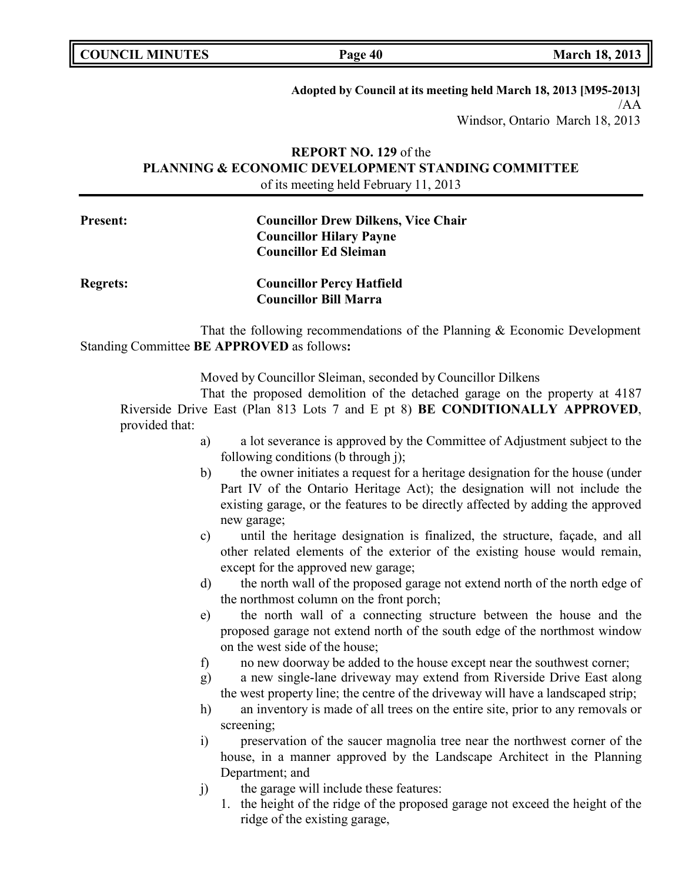| <b>COUNCIL MINUTES</b> |  |
|------------------------|--|
|------------------------|--|

**Adopted by Council at its meeting held March 18, 2013 [M95-2013]** /AA

Windsor, Ontario March 18, 2013

## **REPORT NO. 129** of the **PLANNING & ECONOMIC DEVELOPMENT STANDING COMMITTEE** of its meeting held February 11, 2013

## **Present: Councillor Drew Dilkens, Vice Chair Councillor Hilary Payne Councillor Ed Sleiman**

**Regrets: Councillor Percy Hatfield Councillor Bill Marra**

That the following recommendations of the Planning & Economic Development Standing Committee **BE APPROVED** as follows**:**

Moved by Councillor Sleiman, seconded by Councillor Dilkens

That the proposed demolition of the detached garage on the property at 4187 Riverside Drive East (Plan 813 Lots 7 and E pt 8) **BE CONDITIONALLY APPROVED**, provided that:

- a) a lot severance is approved by the Committee of Adjustment subject to the following conditions (b through j);
- b) the owner initiates a request for a heritage designation for the house (under Part IV of the Ontario Heritage Act); the designation will not include the existing garage, or the features to be directly affected by adding the approved new garage;
- c) until the heritage designation is finalized, the structure, façade, and all other related elements of the exterior of the existing house would remain, except for the approved new garage;
- d) the north wall of the proposed garage not extend north of the north edge of the northmost column on the front porch;
- e) the north wall of a connecting structure between the house and the proposed garage not extend north of the south edge of the northmost window on the west side of the house;
- f) no new doorway be added to the house except near the southwest corner;
- g) a new single-lane driveway may extend from Riverside Drive East along the west property line; the centre of the driveway will have a landscaped strip;
- h) an inventory is made of all trees on the entire site, prior to any removals or screening;
- i) preservation of the saucer magnolia tree near the northwest corner of the house, in a manner approved by the Landscape Architect in the Planning Department; and
- j) the garage will include these features:
	- 1. the height of the ridge of the proposed garage not exceed the height of the ridge of the existing garage,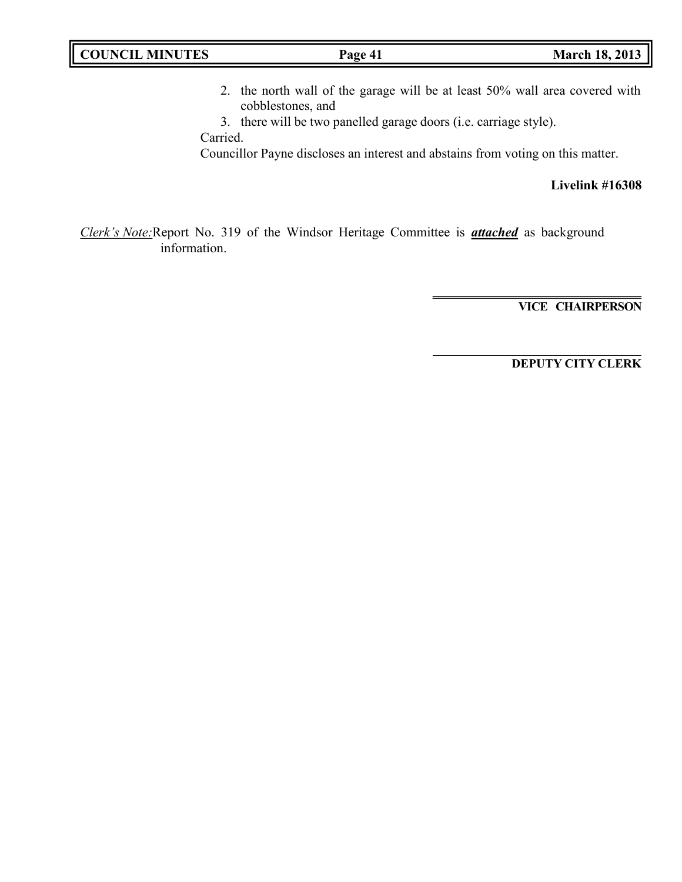| <b>COUNCIL MINUTES</b> | Page 41 | <b>March 18, 2013</b> |
|------------------------|---------|-----------------------|
|                        |         |                       |

2. the north wall of the garage will be at least 50% wall area covered with cobblestones, and

3. there will be two panelled garage doors (i.e. carriage style). Carried.

Councillor Payne discloses an interest and abstains from voting on this matter.

**Livelink #16308**

*Clerk's Note:*Report No. 319 of the Windsor Heritage Committee is *attached* as background information.

**VICE CHAIRPERSON**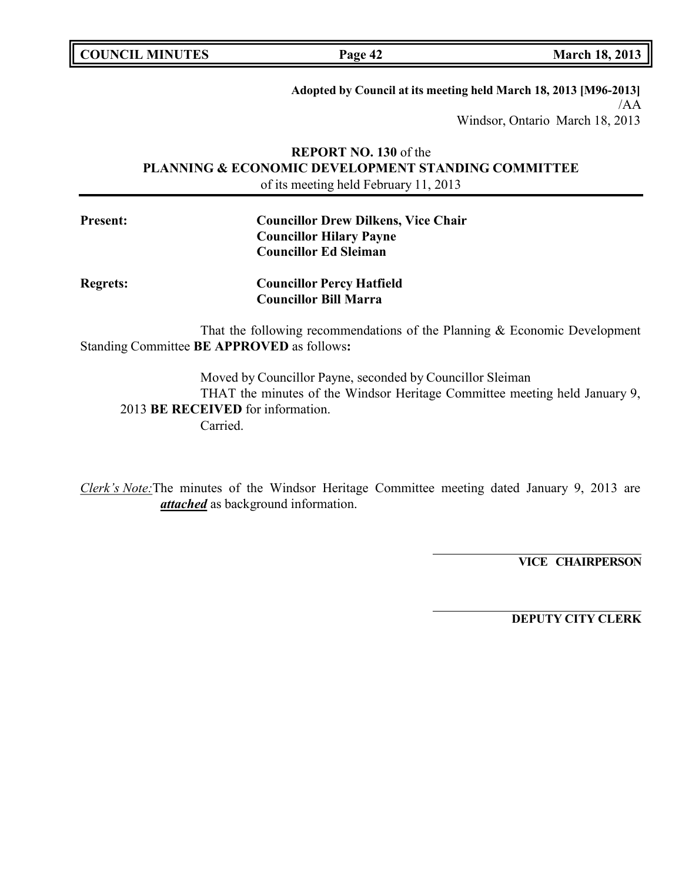**COUNCIL MINUTES Page 42 March 18, 2013**

**Adopted by Council at its meeting held March 18, 2013 [M96-2013]** /AA

Windsor, Ontario March 18, 2013

## **REPORT NO. 130** of the **PLANNING & ECONOMIC DEVELOPMENT STANDING COMMITTEE** of its meeting held February 11, 2013

| <b>Present:</b> | <b>Councillor Drew Dilkens, Vice Chair</b><br><b>Councillor Hilary Payne</b><br><b>Councillor Ed Sleiman</b> |
|-----------------|--------------------------------------------------------------------------------------------------------------|
| <b>Regrets:</b> | <b>Councillor Percy Hatfield</b>                                                                             |
|                 | <b>Councillor Bill Marra</b>                                                                                 |

That the following recommendations of the Planning & Economic Development Standing Committee **BE APPROVED** as follows**:**

Moved by Councillor Payne, seconded by Councillor Sleiman THAT the minutes of the Windsor Heritage Committee meeting held January 9, 2013 **BE RECEIVED** for information. Carried.

*Clerk's Note:*The minutes of the Windsor Heritage Committee meeting dated January 9, 2013 are *attached* as background information.

**VICE CHAIRPERSON**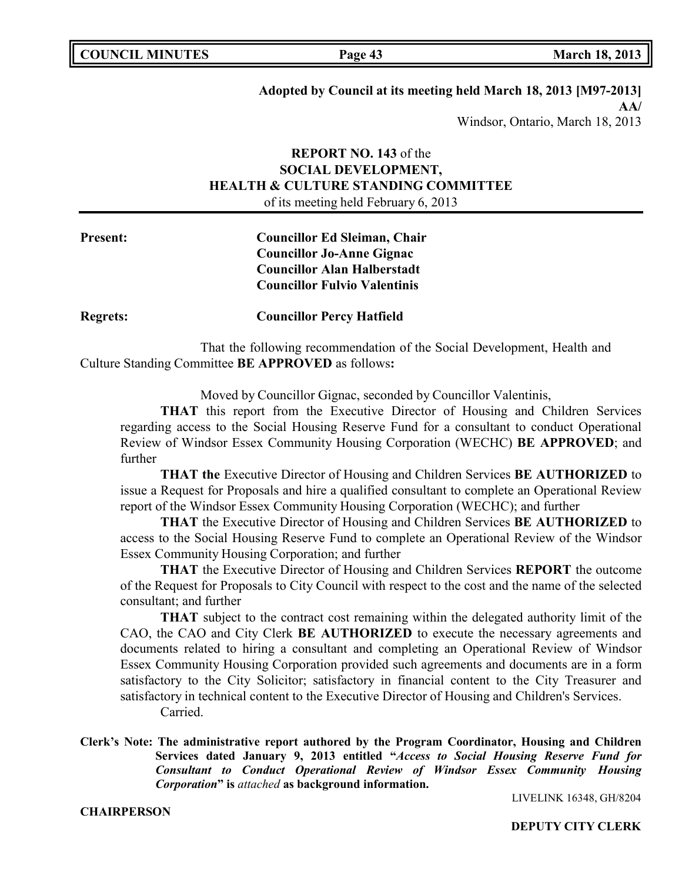| <b>COUNCIL MINUTES</b> |  |
|------------------------|--|
|------------------------|--|

**COUNCIL COUNCIL <b>MINUTES Page 43 March 18,** 2013

## **Adopted by Council at its meeting held March 18, 2013 [M97-2013]**

**AA/** Windsor, Ontario, March 18, 2013

## **REPORT NO. 143** of the **SOCIAL DEVELOPMENT, HEALTH & CULTURE STANDING COMMITTEE** of its meeting held February 6, 2013

## **Present: Councillor Ed Sleiman, Chair Councillor Jo-Anne Gignac Councillor Alan Halberstadt Councillor Fulvio Valentinis**

**Regrets: Councillor Percy Hatfield**

That the following recommendation of the Social Development, Health and Culture Standing Committee **BE APPROVED** as follows**:**

Moved by Councillor Gignac, seconded by Councillor Valentinis,

**THAT** this report from the Executive Director of Housing and Children Services regarding access to the Social Housing Reserve Fund for a consultant to conduct Operational Review of Windsor Essex Community Housing Corporation (WECHC) **BE APPROVED**; and further

**THAT the** Executive Director of Housing and Children Services **BE AUTHORIZED** to issue a Request for Proposals and hire a qualified consultant to complete an Operational Review report of the Windsor Essex Community Housing Corporation (WECHC); and further

**THAT** the Executive Director of Housing and Children Services **BE AUTHORIZED** to access to the Social Housing Reserve Fund to complete an Operational Review of the Windsor Essex Community Housing Corporation; and further

**THAT** the Executive Director of Housing and Children Services **REPORT** the outcome of the Request for Proposals to City Council with respect to the cost and the name of the selected consultant; and further

**THAT** subject to the contract cost remaining within the delegated authority limit of the CAO, the CAO and City Clerk **BE AUTHORIZED** to execute the necessary agreements and documents related to hiring a consultant and completing an Operational Review of Windsor Essex Community Housing Corporation provided such agreements and documents are in a form satisfactory to the City Solicitor; satisfactory in financial content to the City Treasurer and satisfactory in technical content to the Executive Director of Housing and Children's Services. Carried.

**Clerk's Note: The administrative report authored by the Program Coordinator, Housing and Children Services dated January 9, 2013 entitled "***Access to Social Housing Reserve Fund for Consultant to Conduct Operational Review of Windsor Essex Community Housing Corporation***" is** *attached* **as background information.**

LIVELINK 16348, GH/8204

**CHAIRPERSON**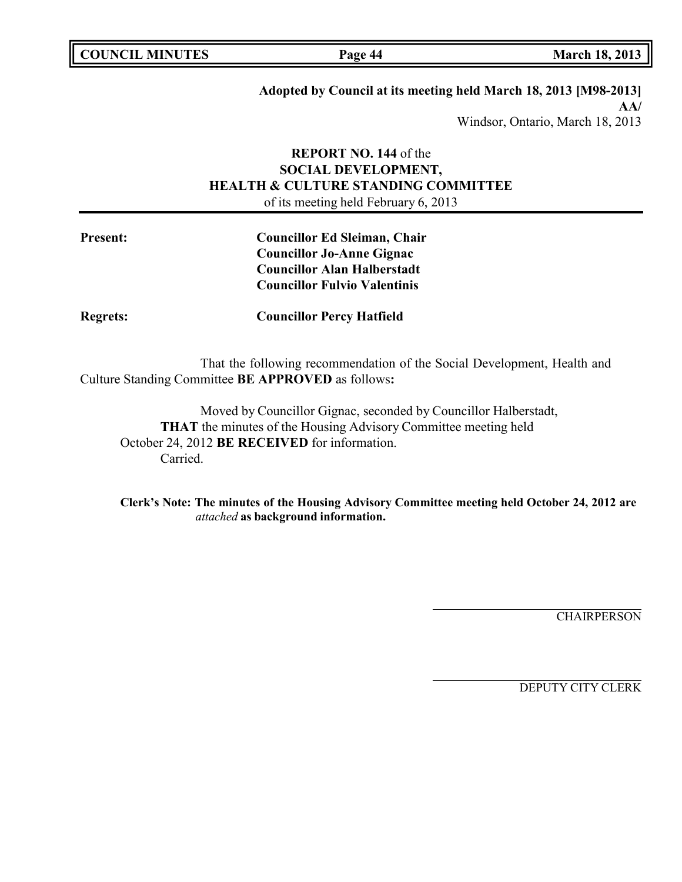**COUNCIL MINUTES Page 44 March 18, 2013**

## **Adopted by Council at its meeting held March 18, 2013 [M98-2013]**

**AA/** Windsor, Ontario, March 18, 2013

## **REPORT NO. 144** of the **SOCIAL DEVELOPMENT, HEALTH & CULTURE STANDING COMMITTEE** of its meeting held February 6, 2013

## **Present: Councillor Ed Sleiman, Chair Councillor Jo-Anne Gignac Councillor Alan Halberstadt Councillor Fulvio Valentinis**

**Regrets: Councillor Percy Hatfield**

That the following recommendation of the Social Development, Health and Culture Standing Committee **BE APPROVED** as follows**:**

Moved by Councillor Gignac, seconded by Councillor Halberstadt, **THAT** the minutes of the Housing Advisory Committee meeting held October 24, 2012 **BE RECEIVED** for information. Carried.

**Clerk's Note: The minutes of the Housing Advisory Committee meeting held October 24, 2012 are** *attached* **as background information.**

**CHAIRPERSON**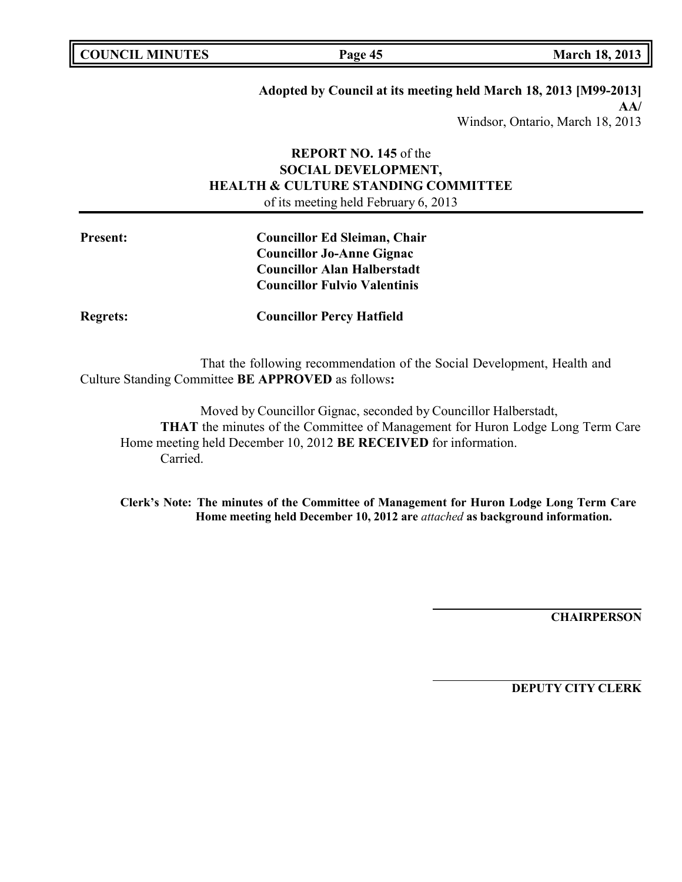| <b>COUNCIL MINUTES</b> |  |
|------------------------|--|
|------------------------|--|

**COUNCIL MINUTES Page 45 March 18, 2013**

## **Adopted by Council at its meeting held March 18, 2013 [M99-2013]**

**AA/** Windsor, Ontario, March 18, 2013

## **REPORT NO. 145** of the **SOCIAL DEVELOPMENT, HEALTH & CULTURE STANDING COMMITTEE** of its meeting held February 6, 2013

## **Present: Councillor Ed Sleiman, Chair Councillor Jo-Anne Gignac Councillor Alan Halberstadt Councillor Fulvio Valentinis**

**Regrets: Councillor Percy Hatfield**

That the following recommendation of the Social Development, Health and Culture Standing Committee **BE APPROVED** as follows**:**

Moved by Councillor Gignac, seconded by Councillor Halberstadt, **THAT** the minutes of the Committee of Management for Huron Lodge Long Term Care Home meeting held December 10, 2012 **BE RECEIVED** for information. Carried.

**Clerk's Note: The minutes of the Committee of Management for Huron Lodge Long Term Care Home meeting held December 10, 2012 are** *attached* **as background information.**

**CHAIRPERSON**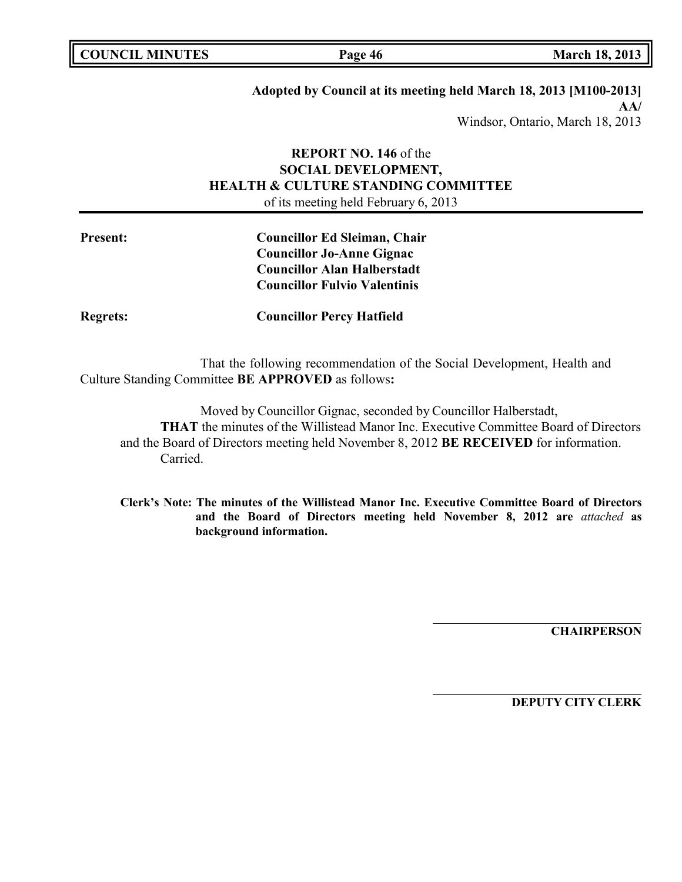|  | <b>COUNCIL MINUTES</b> |
|--|------------------------|
|--|------------------------|

**COUNCIL MINUTES Page 46 March 18, 2013**

# **Adopted by Council at its meeting held March 18, 2013 [M100-2013]**

**AA/** Windsor, Ontario, March 18, 2013

## **REPORT NO. 146** of the **SOCIAL DEVELOPMENT, HEALTH & CULTURE STANDING COMMITTEE** of its meeting held February 6, 2013

## **Present: Councillor Ed Sleiman, Chair Councillor Jo-Anne Gignac Councillor Alan Halberstadt Councillor Fulvio Valentinis**

**Regrets: Councillor Percy Hatfield**

That the following recommendation of the Social Development, Health and Culture Standing Committee **BE APPROVED** as follows**:**

Moved by Councillor Gignac, seconded by Councillor Halberstadt, **THAT** the minutes of the Willistead Manor Inc. Executive Committee Board of Directors and the Board of Directors meeting held November 8, 2012 **BE RECEIVED** for information. Carried.

**Clerk's Note: The minutes of the Willistead Manor Inc. Executive Committee Board of Directors and the Board of Directors meeting held November 8, 2012 are** *attached* **as background information.**

**CHAIRPERSON**